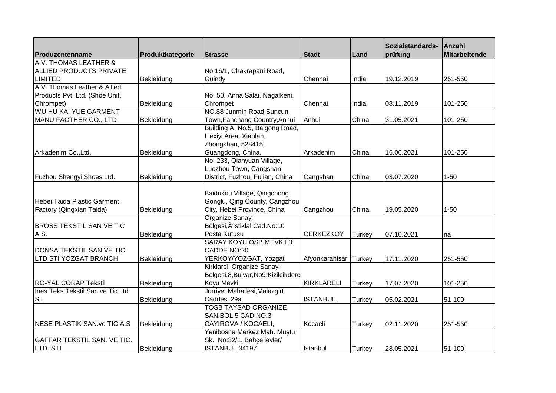|                                    |                  |                                       |                       |               | Sozialstandards- | Anzahl               |
|------------------------------------|------------------|---------------------------------------|-----------------------|---------------|------------------|----------------------|
| Produzentenname                    | Produktkategorie | <b>Strasse</b>                        | <b>Stadt</b>          | Land          | prüfung          | <b>Mitarbeitende</b> |
| A.V. THOMAS LEATHER &              |                  |                                       |                       |               |                  |                      |
| <b>ALLIED PRODUCTS PRIVATE</b>     |                  | No 16/1, Chakrapani Road,             |                       |               |                  |                      |
| <b>LIMITED</b>                     | Bekleidung       | Guindy                                | Chennai               | India         | 19.12.2019       | 251-550              |
| A.V. Thomas Leather & Allied       |                  |                                       |                       |               |                  |                      |
| Products Pvt. Ltd. (Shoe Unit,     |                  | No. 50, Anna Salai, Nagalkeni,        |                       |               |                  |                      |
| Chrompet)                          | Bekleidung       | Chrompet                              | Chennai               | India         | 08.11.2019       | 101-250              |
| <b>WU HU KAI YUE GARMENT</b>       |                  | NO.88 Junmin Road, Suncun             |                       |               |                  |                      |
| MANU FACTHER CO., LTD              | Bekleidung       | Town, Fanchang Country, Anhui         | Anhui                 | China         | 31.05.2021       | 101-250              |
|                                    |                  | Building A, No.5, Baigong Road,       |                       |               |                  |                      |
|                                    |                  | Liexiyi Area, Xiaolan,                |                       |               |                  |                      |
|                                    |                  | Zhongshan, 528415,                    |                       |               |                  |                      |
| Arkadenim Co., Ltd.                | Bekleidung       | Guangdong, China.                     | Arkadenim             | China         | 16.06.2021       | 101-250              |
|                                    |                  | No. 233, Qianyuan Village,            |                       |               |                  |                      |
|                                    |                  | Luozhou Town, Cangshan                |                       |               |                  |                      |
| Fuzhou Shengyi Shoes Ltd.          | Bekleidung       | District, Fuzhou, Fujian, China       | Cangshan              | China         | 03.07.2020       | $1 - 50$             |
|                                    |                  |                                       |                       |               |                  |                      |
|                                    |                  | Baidukou Village, Qingchong           |                       |               |                  |                      |
| Hebei Taida Plastic Garment        |                  | Gonglu, Qing County, Cangzhou         |                       |               |                  |                      |
| Factory (Qingxian Taida)           | Bekleidung       | City, Hebei Province, China           | Cangzhou              | China         | 19.05.2020       | $1 - 50$             |
|                                    |                  | Organize Sanayi                       |                       |               |                  |                      |
| <b>BROSS TEKSTIL SAN VE TIC</b>    |                  | Bölgesi, İstiklal Cad.No:10           |                       |               |                  |                      |
| A.S.                               | Bekleidung       | Posta Kutusu                          | <b>CERKEZKOY</b>      | <b>Turkey</b> | 07.10.2021       | na                   |
|                                    |                  | SARAY KOYU OSB MEVKII 3.              |                       |               |                  |                      |
| DONSA TEKSTIL SAN VE TIC           |                  | CADDE NO:20                           |                       |               |                  |                      |
| LTD STI YOZGAT BRANCH              | Bekleidung       | YERKOY/YOZGAT, Yozgat                 | Afyonkarahisar Turkey |               | 17.11.2020       | 251-550              |
|                                    |                  | Kirklareli Organize Sanayi            |                       |               |                  |                      |
|                                    |                  | Bolgesi, 8, Bulvar, No9, Kizilcikdere |                       |               |                  |                      |
| <b>RO-YAL CORAP Tekstil</b>        | Bekleidung       | Koyu Mevkii                           | KIRKLARELI            | Turkey        | 17.07.2020       | 101-250              |
| Ines Teks Tekstil San ve Tic Ltd   |                  | Jurriyet Mahallesi, Malazgirt         |                       |               |                  |                      |
| Sti                                | Bekleidung       | Caddesi 29a                           | <b>ISTANBUL</b>       | <b>Turkey</b> | 05.02.2021       | 51-100               |
|                                    |                  | <b>TOSB TAYSAD ORGANIZE</b>           |                       |               |                  |                      |
|                                    |                  | SAN.BOL.5 CAD NO.3                    |                       |               |                  |                      |
| NESE PLASTIK SAN.ve TIC.A.S        | Bekleidung       | CAYIROVA / KOCAELI,                   | Kocaeli               | Turkey        | 02.11.2020       | 251-550              |
|                                    |                  | Yenibosna Merkez Mah. Muştu           |                       |               |                  |                      |
| <b>GAFFAR TEKSTIL SAN. VE TIC.</b> |                  | Sk. No:32/1, Bahçelievler/            |                       |               |                  |                      |
| LTD. STI                           | Bekleidung       | ISTANBUL 34197                        | Istanbul              | <b>Turkey</b> | 28.05.2021       | 51-100               |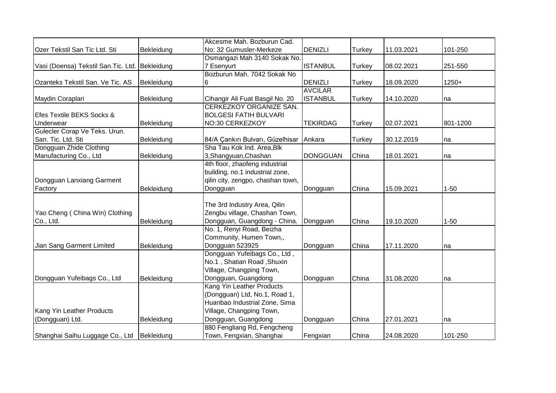|                                                 |            | Akcesme Mah. Bozburun Cad.        |                 |               |            |          |
|-------------------------------------------------|------------|-----------------------------------|-----------------|---------------|------------|----------|
| Ozer Tekstil San Tic Ltd. Sti                   | Bekleidung | No: 32 Gumusler-Merkeze           | <b>DENIZLI</b>  | <b>Turkey</b> | 11.03.2021 | 101-250  |
|                                                 |            | Osmangazi Mah 3140 Sokak No.      |                 |               |            |          |
| Vasi (Doensa) Tekstil San. Tic. Ltd. Bekleidung |            | 7 Esenyurt                        | <b>ISTANBUL</b> | <b>Turkey</b> | 08.02.2021 | 251-550  |
|                                                 |            | Bozburun Mah. 7042 Sokak No       |                 |               |            |          |
| Ozanteks Tekstil San. Ve Tic. AS                | Bekleidung | 6                                 | <b>DENIZLI</b>  | Turkey        | 18.09.2020 | $1250+$  |
|                                                 |            |                                   | <b>AVCILAR</b>  |               |            |          |
| Maydin Coraplari                                | Bekleidung | Cihangir Ali Fuat Basgil No. 20   | <b>ISTANBUL</b> | <b>Turkey</b> | 14.10.2020 | na       |
|                                                 |            | <b>CERKEZKOY ORGANIZE SAN.</b>    |                 |               |            |          |
| Efes Textile BEKS Socks &                       |            | <b>BOLGESI FATIH BULVARI</b>      |                 |               |            |          |
| Underwear                                       | Bekleidung | NO:30 CERKEZKOY                   | <b>TEKIRDAG</b> | <b>Turkey</b> | 02.07.2021 | 801-1200 |
| Gulecler Corap Ve Teks. Urun.                   |            |                                   |                 |               |            |          |
| San. Tic. Ltd. Sti                              | Bekleidung | 84/A Çankırı Bulvarı, Güzelhisar  | Ankara          | <b>Turkey</b> | 30.12.2019 | na       |
| Dongguan Zhide Clothing                         |            | Sha Tau Kok Ind. Area, Blk        |                 |               |            |          |
| Manufacturing Co., Ltd                          | Bekleidung | 3, Shangyuan, Chashan             | <b>DONGGUAN</b> | China         | 18.01.2021 | na       |
|                                                 |            | 4th floor, zhaofeng industrial    |                 |               |            |          |
|                                                 |            | building, no.1 industrial zone,   |                 |               |            |          |
| Dongguan Lanxiang Garment                       |            | qilin city, zengpo, chashan town, |                 |               |            |          |
| Factory                                         | Bekleidung | Dongguan                          | Dongguan        | China         | 15.09.2021 | $1 - 50$ |
|                                                 |            |                                   |                 |               |            |          |
|                                                 |            | The 3rd Industry Area, Qilin      |                 |               |            |          |
| Yao Cheng ( China Win) Clothing                 |            | Zengbu village, Chashan Town,     |                 |               |            |          |
| Co., Ltd.                                       | Bekleidung | Dongguan, Guangdong - China.      | Dongguan        | China         | 19.10.2020 | $1 - 50$ |
|                                                 |            | No. 1, Renyi Road, Beizha         |                 |               |            |          |
|                                                 |            | Community, Humen Town,,           |                 |               |            |          |
| Jian Sang Garment Limited                       | Bekleidung | Dongguan 523925                   | Dongguan        | China         | 17.11.2020 | na       |
|                                                 |            | Dongguan Yufeibags Co., Ltd,      |                 |               |            |          |
|                                                 |            | No.1, Shatian Road, Shuxin        |                 |               |            |          |
|                                                 |            | Village, Changping Town,          |                 |               |            |          |
| Dongguan Yufeibags Co., Ltd                     | Bekleidung | Dongguan, Guangdong               | Dongguan        | China         | 31.08.2020 | na       |
|                                                 |            | Kang Yin Leather Products         |                 |               |            |          |
|                                                 |            | (Dongguan) Ltd, No.1, Road 1,     |                 |               |            |          |
|                                                 |            | Huanbao Industrial Zone, Sima     |                 |               |            |          |
| Kang Yin Leather Products                       |            | Village, Changping Town,          |                 |               |            |          |
| (Dongguan) Ltd.                                 | Bekleidung | Dongguan, Guangdong               | Dongguan        | China         | 27.01.2021 | na       |
|                                                 |            | 880 Fengliang Rd, Fengcheng       |                 |               |            |          |
| Shanghai Saihu Luggage Co., Ltd                 | Bekleidung | Town, Fengxian, Shanghai          | Fengxian        | China         | 24.08.2020 | 101-250  |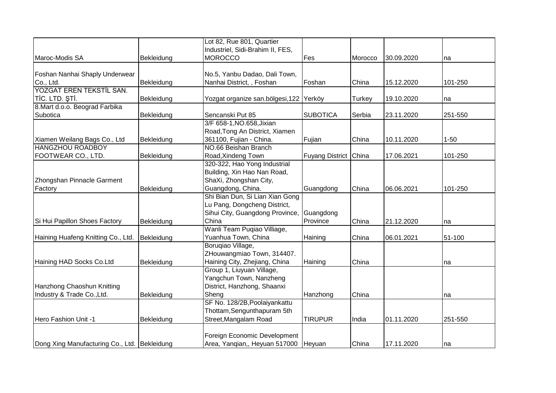|                                              |            | Lot 82, Rue 801, Quartier              |                       |         |            |          |
|----------------------------------------------|------------|----------------------------------------|-----------------------|---------|------------|----------|
|                                              |            | Industriel, Sidi-Brahim II, FES,       |                       |         |            |          |
| Maroc-Modis SA                               | Bekleidung | <b>MOROCCO</b>                         | Fes                   | Morocco | 30.09.2020 | na       |
|                                              |            |                                        |                       |         |            |          |
| Foshan Nanhai Shaply Underwear               |            | No.5, Yanbu Dadao, Dali Town,          |                       |         |            |          |
| Co., Ltd.                                    | Bekleidung | Nanhai District, , Foshan              | Foshan                | China   | 15.12.2020 | 101-250  |
| YOZGAT EREN TEKSTİL SAN.                     |            |                                        |                       |         |            |          |
| TİC. LTD. ŞTİ.                               | Bekleidung | Yozgat organize san.bölgesi,122 Yerköy |                       | Turkey  | 19.10.2020 | na       |
| 8. Mart d.o.o. Beograd Farbika               |            |                                        |                       |         |            |          |
| Subotica                                     | Bekleidung | Sencanski Put 85                       | <b>SUBOTICA</b>       | Serbia  | 23.11.2020 | 251-550  |
|                                              |            | 3/F 658-1, NO.658, Jixian              |                       |         |            |          |
|                                              |            | Road, Tong An District, Xiamen         |                       |         |            |          |
| Xiamen Weilang Bags Co., Ltd                 | Bekleidung | 361100, Fujian - China.                | Fujian                | China   | 10.11.2020 | $1 - 50$ |
| <b>HANGZHOU ROADBOY</b>                      |            | NO.66 Beishan Branch                   |                       |         |            |          |
| FOOTWEAR CO., LTD.                           | Bekleidung | Road, Xindeng Town                     | Fuyang District China |         | 17.06.2021 | 101-250  |
|                                              |            | 320-322, Hao Yong Industrial           |                       |         |            |          |
|                                              |            | Building, Xin Hao Nan Road,            |                       |         |            |          |
| Zhongshan Pinnacle Garment                   |            | ShaXi, Zhongshan City,                 |                       |         |            |          |
| Factory                                      | Bekleidung | Guangdong, China.                      | Guangdong             | China   | 06.06.2021 | 101-250  |
|                                              |            | Shi Bian Dun, Si Lian Xian Gong        |                       |         |            |          |
|                                              |            | Lu Pang, Dongcheng District,           |                       |         |            |          |
|                                              |            | Sihui City, Guangdong Province,        | Guangdong             |         |            |          |
| Si Hui Papillon Shoes Factory                | Bekleidung | China                                  | Province              | China   | 21.12.2020 | na       |
|                                              |            | Wanli Team Puqiao Villiage,            |                       |         |            |          |
| Haining Huafeng Knitting Co., Ltd.           | Bekleidung | Yuanhua Town, China                    | Haining               | China   | 06.01.2021 | 51-100   |
|                                              |            | Borugiao Village,                      |                       |         |            |          |
|                                              |            | ZHouwangmiao Town, 314407.             |                       |         |            |          |
| Haining HAD Socks Co.Ltd                     | Bekleidung | Haining City, Zhejiang, China          | Haining               | China   |            | na       |
|                                              |            | Group 1, Liuyuan Village,              |                       |         |            |          |
|                                              |            | Yangchun Town, Nanzheng                |                       |         |            |          |
| Hanzhong Chaoshun Knitting                   |            | District, Hanzhong, Shaanxi            |                       |         |            |          |
| Industry & Trade Co., Ltd.                   | Bekleidung | Sheng                                  | Hanzhong              | China   |            | na       |
|                                              |            | SF No. 128/2B, Poolaiyankattu          |                       |         |            |          |
|                                              |            | Thottam, Sengunthapuram 5th            |                       |         |            |          |
| Hero Fashion Unit -1                         | Bekleidung | Street, Mangalam Road                  | <b>TIRUPUR</b>        | India   | 01.11.2020 | 251-550  |
|                                              |            |                                        |                       |         |            |          |
|                                              |            | Foreign Economic Development           |                       |         |            |          |
| Dong Xing Manufacturing Co., Ltd. Bekleidung |            | Area, Yanqian,, Heyuan 517000 Heyuan   |                       | China   | 17.11.2020 | Ina      |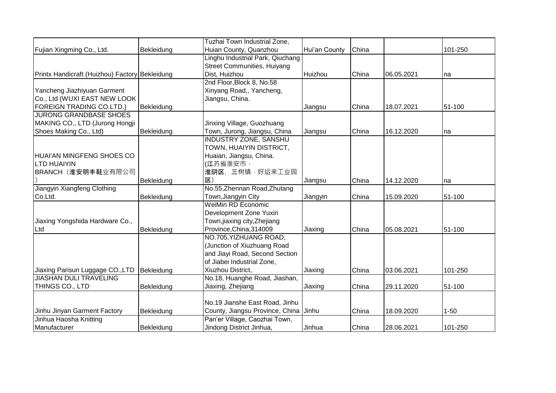|                                                |            | Tuzhai Town Industrial Zone,          |               |       |            |          |
|------------------------------------------------|------------|---------------------------------------|---------------|-------|------------|----------|
| Fujian Xingming Co., Ltd.                      | Bekleidung | Huian County, Quanzhou                | Hui'an County | China |            | 101-250  |
|                                                |            | Linghu Industrial Park, Qiuchang      |               |       |            |          |
|                                                |            | Street Communities, Huiyang           |               |       |            |          |
| Printx Handicraft (Huizhou) Factory Bekleidung |            | Dist, Huizhou                         | Huizhou       | China | 06.05.2021 | na       |
|                                                |            | 2nd Floor, Block 8, No.58             |               |       |            |          |
| Yancheng Jiazhiyuan Garment                    |            | Xinyang Road,, Yancheng,              |               |       |            |          |
| Co., Ltd (WUXI EAST NEW LOOK                   |            | Jiangsu, China.                       |               |       |            |          |
| <b>FOREIGN TRADING CO.LTD.)</b>                | Bekleidung |                                       | Jiangsu       | China | 18.07.2021 | 51-100   |
| <b>JURONG GRANDBASE SHOES</b>                  |            |                                       |               |       |            |          |
| MAKING CO., LTD (Jurong Hongji                 |            | Jinxing Village, Guozhuang            |               |       |            |          |
| Shoes Making Co., Ltd)                         | Bekleidung | Town, Jurong, Jiangsu, China          | Jiangsu       | China | 16.12.2020 | na       |
|                                                |            | <b>INDUSTRY ZONE, SANSHU</b>          |               |       |            |          |
|                                                |            | TOWN, HUAIYIN DISTRICT,               |               |       |            |          |
| HUAI'AN MINGFENG SHOES CO                      |            | Huaian, Jiangsu, China.               |               |       |            |          |
| <b>LTD HUAIYIN</b>                             |            | <b>(江</b> 苏省淮安市,                      |               |       |            |          |
| BRANCH (淮安明丰鞋业有限公司                             |            | 淮阴区, 三树镇 · 好运来工业园                     |               |       |            |          |
|                                                | Bekleidung | $ \overline{\mathbf{X}}\rangle$       | Jiangsu       | China | 14.12.2020 | na       |
| Jiangyin Xiangfeng Clothing                    |            | No.55, Zhennan Road, Zhutang          |               |       |            |          |
| Co.Ltd.                                        | Bekleidung | Town, Jiangyin City                   | Jiangyin      | China | 15.09.2020 | 51-100   |
|                                                |            | <b>WeiMin RD Economic</b>             |               |       |            |          |
|                                                |            | Development Zone Yuxin                |               |       |            |          |
| Jiaxing Yongshida Hardware Co.,                |            | Town,jiaxing city,Zhejiang            |               |       |            |          |
| Ltd                                            | Bekleidung | Province, China, 314009               | Jiaxing       | China | 05.08.2021 | 51-100   |
|                                                |            | NO.705, YIZHUANG ROAD,                |               |       |            |          |
|                                                |            | (Junction of Xiuzhuang Road           |               |       |            |          |
|                                                |            | and Jiayi Road, Second Section        |               |       |            |          |
|                                                |            | of Jiabei Industrial Zone,            |               |       |            |          |
| Jiaxing Parisun Luggage CO., LTD               | Bekleidung | Xiuzhou District,                     | Jiaxing       | China | 03.06.2021 | 101-250  |
| <b>JIASHAN DULI TRAVELING</b>                  |            | No.18, Huanghe Road, Jiashan,         |               |       |            |          |
| THINGS CO., LTD                                | Bekleidung | Jiaxing, Zhejiang                     | Jiaxing       | China | 29.11.2020 | 51-100   |
|                                                |            |                                       |               |       |            |          |
|                                                |            | No.19 Jianshe East Road, Jinhu        |               |       |            |          |
| Jinhu Jinyan Garment Factory                   | Bekleidung | County, Jiangsu Province, China Jinhu |               | China | 18.09.2020 | $1 - 50$ |
| Jinhua Haosha Knitting                         |            | Pan'er Village, Caozhai Town,         |               |       |            |          |
| Manufacturer                                   | Bekleidung | Jindong District Jinhua,              | Jinhua        | China | 28.06.2021 | 101-250  |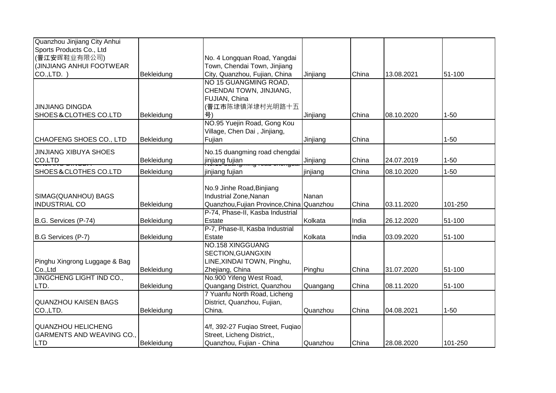| Quanzhou Jinjiang City Anhui     |            |                                   |          |       |            |          |
|----------------------------------|------------|-----------------------------------|----------|-------|------------|----------|
| Sports Products Co., Ltd         |            |                                   |          |       |            |          |
| (晋江安晖鞋业有限公司)                     |            | No. 4 Longquan Road, Yangdai      |          |       |            |          |
| (JINJIANG ANHUI FOOTWEAR         |            | Town, Chendai Town, Jinjiang      |          |       |            |          |
| $CO.$ , LTD. $)$                 | Bekleidung | City, Quanzhou, Fujian, China     | Jinjiang | China | 13.08.2021 | 51-100   |
|                                  |            | NO 15 GUANGMING ROAD,             |          |       |            |          |
|                                  |            | CHENDAI TOWN, JINJIANG,           |          |       |            |          |
|                                  |            | FUJIAN, China                     |          |       |            |          |
| <b>JINJIANG DINGDA</b>           |            | (晋江市陈埭镇洋埭村光明路十五                   |          |       |            |          |
| <b>SHOES&amp;CLOTHES CO.LTD</b>  | Bekleidung | 号)                                | Jinjiang | China | 08.10.2020 | $1 - 50$ |
|                                  |            | NO.95 Yuejin Road, Gong Kou       |          |       |            |          |
|                                  |            | Village, Chen Dai, Jinjiang,      |          |       |            |          |
| CHAOFENG SHOES CO., LTD          | Bekleidung | Fujian                            | Jinjiang | China |            | $1 - 50$ |
| <b>JINJIANG XIBUYA SHOES</b>     |            | No.15 duangming road chengdai     |          |       |            |          |
| CO.LTD                           | Bekleidung | jinjiang fujian                   | Jinjiang | China | 24.07.2019 | $1 - 50$ |
| <b>SHOES&amp;CLOTHES CO.LTD</b>  | Bekleidung | jinjiang fujian                   | jinjiang | China | 08.10.2020 | $1 - 50$ |
|                                  |            |                                   |          |       |            |          |
|                                  |            | No.9 Jinhe Road, Binjiang         |          |       |            |          |
| SIMAG(QUANHOU) BAGS              |            | Industrial Zone, Nanan            | Nanan    |       |            |          |
| <b>INDUSTRIAL CO</b>             | Bekleidung | Quanzhou, Fujian Province, China  | Quanzhou | China | 03.11.2020 | 101-250  |
|                                  |            | P-74, Phase-II, Kasba Industrial  |          |       |            |          |
| B.G. Services (P-74)             | Bekleidung | Estate                            | Kolkata  | India | 26.12.2020 | 51-100   |
|                                  |            | P-7, Phase-II, Kasba Industrial   |          |       |            |          |
| B.G Services (P-7)               | Bekleidung | Estate                            | Kolkata  | India | 03.09.2020 | 51-100   |
|                                  |            | <b>NO.158 XINGGUANG</b>           |          |       |            |          |
|                                  |            | SECTION, GUANGXIN                 |          |       |            |          |
| Pinghu Xingrong Luggage & Bag    |            | LINE, XINDAI TOWN, Pinghu,        |          |       |            |          |
| Co.,Ltd                          | Bekleidung | Zhejiang, China                   | Pinghu   | China | 31.07.2020 | 51-100   |
| JINGCHENG LIGHT IND CO.,         |            | No.900 Yifeng West Road,          |          |       |            |          |
| LTD.                             | Bekleidung | Quangang District, Quanzhou       | Quangang | China | 08.11.2020 | 51-100   |
|                                  |            | 7 Yuanfu North Road, Licheng      |          |       |            |          |
| QUANZHOU KAISEN BAGS             |            | District, Quanzhou, Fujian,       |          |       |            |          |
| CO.,LTD.                         | Bekleidung | China.                            | Quanzhou | China | 04.08.2021 | $1 - 50$ |
|                                  |            |                                   |          |       |            |          |
| QUANZHOU HELICHENG               |            | 4/f, 392-27 Fuqiao Street, Fuqiao |          |       |            |          |
| <b>GARMENTS AND WEAVING CO.,</b> |            | Street, Licheng District,,        |          |       |            |          |
| <b>LTD</b>                       | Bekleidung | Quanzhou, Fujian - China          | Quanzhou | China | 28.08.2020 | 101-250  |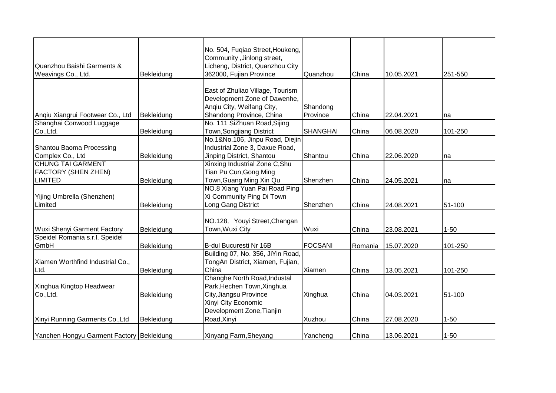| Quanzhou Baishi Garments &<br>Weavings Co., Ltd. | Bekleidung | No. 504, Fuqiao Street, Houkeng,<br>Community, Jinlong street,<br>Licheng, District, Quanzhou City<br>362000, Fujian Province | Quanzhou        | China   | 10.05.2021 | 251-550  |
|--------------------------------------------------|------------|-------------------------------------------------------------------------------------------------------------------------------|-----------------|---------|------------|----------|
|                                                  |            |                                                                                                                               |                 |         |            |          |
|                                                  |            | East of Zhuliao Village, Tourism<br>Development Zone of Dawenhe,                                                              |                 |         |            |          |
|                                                  |            | Angiu City, Weifang City,                                                                                                     | Shandong        |         |            |          |
| Anqiu Xiangrui Footwear Co., Ltd                 | Bekleidung | Shandong Province, China                                                                                                      | Province        | China   | 22.04.2021 | na       |
| Shanghai Conwood Luggage                         |            | No. 111 SiZhuan Road, Sijing                                                                                                  |                 |         |            |          |
| Co., Ltd.                                        | Bekleidung | Town, Songjiang District                                                                                                      | <b>SHANGHAI</b> | China   | 06.08.2020 | 101-250  |
|                                                  |            | No.1&No.106, Jinpu Road, Diejin                                                                                               |                 |         |            |          |
| Shantou Baoma Processing                         |            | Industrial Zone 3, Daxue Road,                                                                                                |                 |         |            |          |
| Complex Co., Ltd                                 | Bekleidung | Jinping District, Shantou                                                                                                     | Shantou         | China   | 22.06.2020 | na       |
| <b>CHUNG TAI GARMENT</b>                         |            | Xinxing Industrial Zone C, Shu                                                                                                |                 |         |            |          |
| <b>FACTORY (SHEN ZHEN)</b>                       |            | Tian Pu Cun, Gong Ming                                                                                                        |                 |         |            |          |
| <b>LIMITED</b>                                   | Bekleidung | Town, Guang Ming Xin Qu                                                                                                       | Shenzhen        | China   | 24.05.2021 | na       |
|                                                  |            | NO.8 Xiang Yuan Pai Road Ping                                                                                                 |                 |         |            |          |
| Yijing Umbrella (Shenzhen)<br>Limited            |            | Xi Community Ping Di Town                                                                                                     |                 | China   |            | 51-100   |
|                                                  | Bekleidung | Long Gang District                                                                                                            | Shenzhen        |         | 24.08.2021 |          |
|                                                  |            | NO.128, Youyi Street, Changan                                                                                                 |                 |         |            |          |
| Wuxi Shenyi Garment Factory                      | Bekleidung | Town, Wuxi City                                                                                                               | Wuxi            | China   | 23.08.2021 | $1 - 50$ |
| Speidel Romania s.r.l. Speidel                   |            |                                                                                                                               |                 |         |            |          |
| GmbH                                             | Bekleidung | B-dul Bucuresti Nr 16B                                                                                                        | <b>FOCSANI</b>  | Romania | 15.07.2020 | 101-250  |
|                                                  |            | Building 07, No. 356, JiYin Road,                                                                                             |                 |         |            |          |
| Xiamen Worthfind Industrial Co.,                 |            | TongAn District, Xiamen, Fujian,                                                                                              |                 |         |            |          |
| Ltd.                                             | Bekleidung | China                                                                                                                         | Xiamen          | China   | 13.05.2021 | 101-250  |
|                                                  |            | Changhe North Road, Industal                                                                                                  |                 |         |            |          |
| Xinghua Kingtop Headwear                         |            | Park, Hechen Town, Xinghua                                                                                                    |                 |         |            |          |
| Co.,Ltd.                                         | Bekleidung | City, Jiangsu Province                                                                                                        | Xinghua         | China   | 04.03.2021 | 51-100   |
|                                                  |            | Xinyi City Economic                                                                                                           |                 |         |            |          |
|                                                  |            | Development Zone, Tianjin                                                                                                     |                 |         |            |          |
| Xinyi Running Garments Co., Ltd                  | Bekleidung | Road, Xinyi                                                                                                                   | Xuzhou          | China   | 27.08.2020 | $1 - 50$ |
| Yanchen Hongyu Garment Factory Bekleidung        |            | Xinyang Farm, Sheyang                                                                                                         | Yancheng        | China   | 13.06.2021 | $1 - 50$ |
|                                                  |            |                                                                                                                               |                 |         |            |          |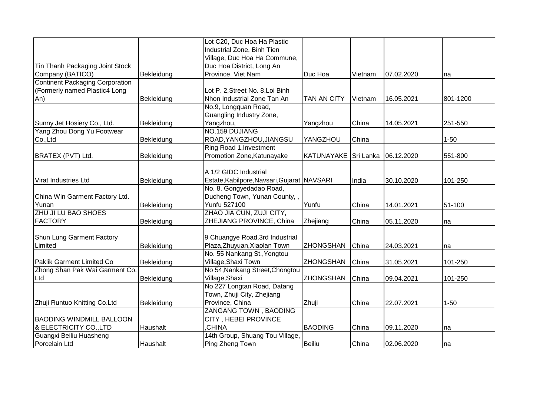|                                        |            | Lot C20, Duc Hoa Ha Plastic                 |                    |           |            |          |
|----------------------------------------|------------|---------------------------------------------|--------------------|-----------|------------|----------|
|                                        |            | Industrial Zone, Binh Tien                  |                    |           |            |          |
|                                        |            | Village, Duc Hoa Ha Commune,                |                    |           |            |          |
| Tin Thanh Packaging Joint Stock        |            | Duc Hoa District, Long An                   |                    |           |            |          |
| Company (BATICO)                       | Bekleidung | Province, Viet Nam                          | Duc Hoa            | Vietnam   | 07.02.2020 | na       |
| <b>Continent Packaging Corporation</b> |            |                                             |                    |           |            |          |
| (Formerly named Plastic4 Long          |            | Lot P. 2, Street No. 8, Loi Binh            |                    |           |            |          |
| An)                                    | Bekleidung | Nhon Industrial Zone Tan An                 | <b>TAN AN CITY</b> | Vietnam   | 16.05.2021 | 801-1200 |
|                                        |            | No.9, Longquan Road,                        |                    |           |            |          |
|                                        |            | Guangling Industry Zone,                    |                    |           |            |          |
| Sunny Jet Hosiery Co., Ltd.            | Bekleidung | Yangzhou,                                   | Yangzhou           | China     | 14.05.2021 | 251-550  |
| Yang Zhou Dong Yu Footwear             |            | NO.159 DUJIANG                              |                    |           |            |          |
| Co.,Ltd                                | Bekleidung | ROAD, YANGZHOU, JIANGSU                     | YANGZHOU           | China     |            | $1 - 50$ |
|                                        |            | Ring Road 1, Investment                     |                    |           |            |          |
| BRATEX (PVT) Ltd.                      | Bekleidung | Promotion Zone, Katunayake                  | KATUNAYAKE         | Sri Lanka | 06.12.2020 | 551-800  |
|                                        |            |                                             |                    |           |            |          |
|                                        |            | A 1/2 GIDC Industrial                       |                    |           |            |          |
| <b>Virat Industries Ltd</b>            | Bekleidung | Estate, Kabilpore, Navsari, Gujarat NAVSARI |                    | India     | 30.10.2020 | 101-250  |
|                                        |            | No. 8, Gongyedadao Road,                    |                    |           |            |          |
| China Win Garment Factory Ltd.         |            | Ducheng Town, Yunan County,,                |                    |           |            |          |
| Yunan                                  | Bekleidung | Yunfu 527100                                | Yunfu              | China     | 14.01.2021 | 51-100   |
| ZHU JI LU BAO SHOES                    |            | ZHAO JIA CUN, ZUJI CITY,                    |                    |           |            |          |
| <b>FACTORY</b>                         | Bekleidung | ZHEJIANG PROVINCE, China                    | Zhejiang           | China     | 05.11.2020 | na       |
|                                        |            |                                             |                    |           |            |          |
| Shun Lung Garment Factory              |            | 9 Chuangye Road, 3rd Industrial             |                    |           |            |          |
| Limited                                | Bekleidung | Plaza, Zhuyuan, Xiaolan Town                | <b>ZHONGSHAN</b>   | China     | 24.03.2021 | na       |
|                                        |            | No. 55 Nankang St., Yongtou                 |                    |           |            |          |
| Paklik Garment Limited Co              | Bekleidung | Village, Shaxi Town                         | <b>ZHONGSHAN</b>   | China     | 31.05.2021 | 101-250  |
| Zhong Shan Pak Wai Garment Co.         |            | No 54, Nankang Street, Chongtou             |                    |           |            |          |
| Ltd                                    | Bekleidung | Village, Shaxi                              | <b>ZHONGSHAN</b>   | China     | 09.04.2021 | 101-250  |
|                                        |            | No 227 Longtan Road, Datang                 |                    |           |            |          |
|                                        |            | Town, Zhuji City, Zhejiang                  |                    |           |            |          |
| Zhuji Runtuo Knitting Co.Ltd           | Bekleidung | Province, China                             | Zhuji              | China     | 22.07.2021 | $1 - 50$ |
|                                        |            | ZANGANG TOWN, BAODING                       |                    |           |            |          |
| <b>BAODING WINDMILL BALLOON</b>        |            | CITY, HEBEI PROVINCE                        |                    |           |            |          |
| & ELECTRICITY CO., LTD                 | Haushalt   | CHINA                                       | <b>BAODING</b>     | China     | 09.11.2020 | na       |
| Guangxi Beiliu Huasheng                |            | 14th Group, Shuang Tou Village,             |                    |           |            |          |
| Porcelain Ltd                          | Haushalt   | Ping Zheng Town                             | Beiliu             | China     | 02.06.2020 | na       |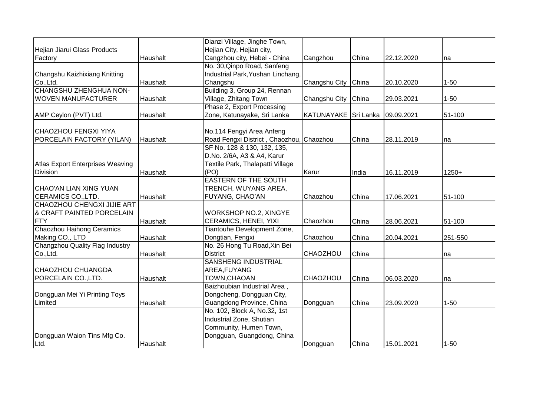|                                                         |          | Dianzi Village, Jinghe Town,                         |                      |       |            |          |
|---------------------------------------------------------|----------|------------------------------------------------------|----------------------|-------|------------|----------|
| Hejian Jiarui Glass Products                            |          | Hejian City, Hejian city,                            |                      |       |            |          |
| Factory                                                 | Haushalt | Cangzhou city, Hebei - China                         | Cangzhou             | China | 22.12.2020 | na       |
|                                                         |          | No. 30, Qinpo Road, Sanfeng                          |                      |       |            |          |
| Changshu Kaizhixiang Knitting                           |          | Industrial Park, Yushan Linchang,                    |                      |       |            |          |
| Co., Ltd.                                               | Haushalt | Changshu                                             | Changshu City China  |       | 20.10.2020 | $1 - 50$ |
| CHANGSHU ZHENGHUA NON-                                  |          | Building 3, Group 24, Rennan                         |                      |       |            |          |
| <b>WOVEN MANUFACTURER</b>                               | Haushalt | Village, Zhitang Town                                | Changshu City        | China | 29.03.2021 | $1 - 50$ |
|                                                         |          | Phase 2, Export Processing                           |                      |       |            |          |
| AMP Ceylon (PVT) Ltd.                                   | Haushalt | Zone, Katunayake, Sri Lanka                          | KATUNAYAKE Sri Lanka |       | 09.09.2021 | 51-100   |
|                                                         |          |                                                      |                      |       |            |          |
| CHAOZHOU FENGXI YIYA                                    |          | No.114 Fengyi Area Anfeng                            |                      |       |            |          |
| PORCELAIN FACTORY (YILAN)                               | Haushalt | Road Fengxi District, Chaozhou,                      | Chaozhou             | China | 28.11.2019 | na       |
|                                                         |          | SF No. 128 & 130, 132, 135,                          |                      |       |            |          |
|                                                         |          | D.No. 2/6A, A3 & A4, Karur                           |                      |       |            |          |
| Atlas Export Enterprises Weaving                        |          | Textile Park, Thalapatti Village<br>(PO)             |                      |       |            |          |
| Division                                                | Haushalt | <b>EASTERN OF THE SOUTH</b>                          | Karur                | India | 16.11.2019 | $1250+$  |
|                                                         |          |                                                      |                      |       |            |          |
| CHAO'AN LIAN XING YUAN                                  | Haushalt | TRENCH, WUYANG AREA,                                 |                      |       |            | 51-100   |
| <b>CERAMICS CO., LTD.</b><br>CHAOZHOU CHENGXI JIJIE ART |          | FUYANG, CHAO'AN                                      | Chaozhou             | China | 17.06.2021 |          |
| & CRAFT PAINTED PORCELAIN                               |          | <b>WORKSHOP NO.2, XINGYE</b>                         |                      |       |            |          |
| FTY                                                     | Haushalt |                                                      |                      | China | 28.06.2021 |          |
| Chaozhou Haihong Ceramics                               |          | CERAMICS, HENEI, YIXI<br>Tiantouhe Development Zone, | Chaozhou             |       |            | 51-100   |
| Making CO., LTD                                         |          | Dongtian, Fengxi                                     | Chaozhou             | China | 20.04.2021 | 251-550  |
| Changzhou Quality Flag Industry                         | Haushalt | No. 26 Hong Tu Road, Xin Bei                         |                      |       |            |          |
| Co., Ltd.                                               | Haushalt | <b>District</b>                                      | <b>CHAOZHOU</b>      | China |            |          |
|                                                         |          | <b>SANSHENG INDUSTRIAL</b>                           |                      |       |            | na       |
| <b>CHAOZHOU CHUANGDA</b>                                |          | AREA, FUYANG                                         |                      |       |            |          |
| PORCELAIN CO., LTD.                                     | Haushalt | TOWN, CHAOAN                                         | CHAOZHOU             | China | 06.03.2020 | na       |
|                                                         |          | Baizhoubian Industrial Area,                         |                      |       |            |          |
| Dongguan Mei Yi Printing Toys                           |          | Dongcheng, Dongguan City,                            |                      |       |            |          |
| Limited                                                 | Haushalt | Guangdong Province, China                            | Dongguan             | China | 23.09.2020 | $1 - 50$ |
|                                                         |          | No. 102, Block A, No.32, 1st                         |                      |       |            |          |
|                                                         |          | Industrial Zone, Shutian                             |                      |       |            |          |
|                                                         |          | Community, Humen Town,                               |                      |       |            |          |
| Dongguan Waion Tins Mfg Co.                             |          | Dongguan, Guangdong, China                           |                      |       |            |          |
| Ltd.                                                    | Haushalt |                                                      | Dongguan             | China | 15.01.2021 | $1 - 50$ |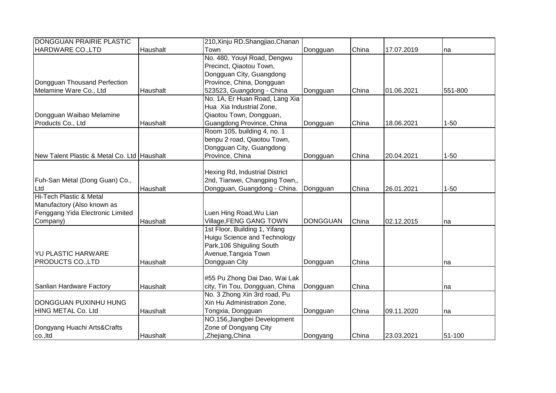| DONGGUAN PRAIRIE PLASTIC                    |          | 210, Xinju RD, Shangjiao, Chanan |                 |       |            |          |
|---------------------------------------------|----------|----------------------------------|-----------------|-------|------------|----------|
| HARDWARE CO., LTD                           | Haushalt | Town                             | Dongguan        | China | 17.07.2019 | na       |
|                                             |          | No. 480, Youyi Road, Dengwu      |                 |       |            |          |
|                                             |          | Precinct, Qiaotou Town,          |                 |       |            |          |
|                                             |          | Dongguan City, Guangdong         |                 |       |            |          |
| Dongguan Thousand Perfection                |          | Province, China, Dongguan        |                 |       |            |          |
| Melamine Ware Co., Ltd                      | Haushalt | 523523, Guangdong - China        | Dongguan        | China | 01.06.2021 | 551-800  |
|                                             |          | No. 1A, Er Huan Road, Lang Xia   |                 |       |            |          |
|                                             |          | Hua Xia Industrial Zone,         |                 |       |            |          |
| Dongguan Waibao Melamine                    |          | Qiaotou Town, Dongguan,          |                 |       |            |          |
| Products Co., Ltd                           | Haushalt | Guangdong Province, China        | Dongguan        | China | 18.06.2021 | $1 - 50$ |
|                                             |          | Room 105, building 4, no. 1      |                 |       |            |          |
|                                             |          | benpu 2 road, Qiaotou Town,      |                 |       |            |          |
|                                             |          | Dongguan City, Guangdong         |                 |       |            |          |
| New Talent Plastic & Metal Co. Ltd Haushalt |          | Province, China                  | Dongguan        | China | 20.04.2021 | $1 - 50$ |
|                                             |          |                                  |                 |       |            |          |
|                                             |          | Hexing Rd, Industrial District   |                 |       |            |          |
| Fuh-San Metal (Dong Guan) Co.,              |          | 2nd, Tianwei, Changping Town,,   |                 |       |            |          |
| Ltd                                         | Haushalt | Dongguan, Guangdong - China.     | Dongguan        | China | 26.01.2021 | $1 - 50$ |
| Hi-Tech Plastic & Metal                     |          |                                  |                 |       |            |          |
| Manufactory (Also known as                  |          |                                  |                 |       |            |          |
| Fenggang Yida Electronic Limited            |          | Luen Hing Road, Wu Lian          |                 |       |            |          |
| Company)                                    | Haushalt | Village, FENG GANG TOWN          | <b>DONGGUAN</b> | China | 02.12.2015 | na       |
|                                             |          | 1st Floor, Building 1, Yifang    |                 |       |            |          |
|                                             |          | Huigu Science and Technology     |                 |       |            |          |
|                                             |          | Park, 106 Shiguling South        |                 |       |            |          |
| <b>YU PLASTIC HARWARE</b>                   |          | Avenue, Tangxia Town             |                 |       |            |          |
| <b>PRODUCTS CO., LTD</b>                    | Haushalt | Dongguan City                    | Dongguan        | China |            | na       |
|                                             |          |                                  |                 |       |            |          |
|                                             |          | #55 Pu Zhong Dai Dao, Wai Lak    |                 |       |            |          |
| Sanlian Hardware Factory                    | Haushalt | city, Tin Tou, Dongguan, China   | Dongguan        | China |            | na       |
|                                             |          | No. 3 Zhong Xin 3rd road, Pu     |                 |       |            |          |
| DONGGUAN PUXINHU HUNG                       |          | Xin Hu Administration Zone,      |                 |       |            |          |
| HING METAL Co. Ltd                          | Haushalt | Tongxia, Dongguan                | Dongguan        | China | 09.11.2020 | na       |
|                                             |          | NO.156, Jiangbei Development     |                 |       |            |          |
| Dongyang Huachi Arts&Crafts                 |          | Zone of Dongyang City            |                 |       |            |          |
| co., Itd                                    | Haushalt | ,Zhejiang,China                  | Dongyang        | China | 23.03.2021 | 51-100   |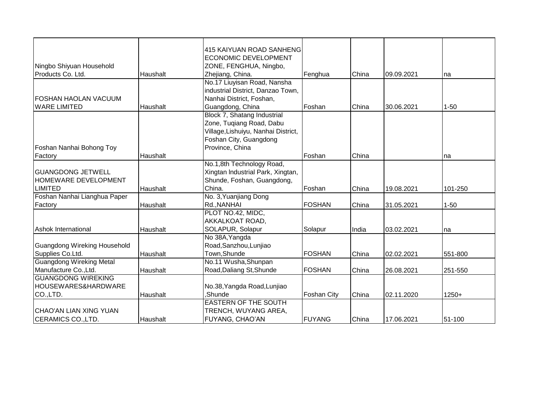|                                     |          | 415 KAIYUAN ROAD SANHENG            |                    |       |            |          |
|-------------------------------------|----------|-------------------------------------|--------------------|-------|------------|----------|
|                                     |          | <b>ECONOMIC DEVELOPMENT</b>         |                    |       |            |          |
| Ningbo Shiyuan Household            |          | ZONE, FENGHUA, Ningbo,              |                    |       |            |          |
| Products Co. Ltd.                   | Haushalt | Zhejiang, China.                    | Fenghua            | China | 09.09.2021 | na       |
|                                     |          | No.17 Liuyisan Road, Nansha         |                    |       |            |          |
|                                     |          | industrial District, Danzao Town,   |                    |       |            |          |
| <b>FOSHAN HAOLAN VACUUM</b>         |          | Nanhai District, Foshan,            |                    |       |            |          |
| <b>WARE LIMITED</b>                 | Haushalt | Guangdong, China                    | Foshan             | China | 30.06.2021 | $1 - 50$ |
|                                     |          | Block 7, Shatang Industrial         |                    |       |            |          |
|                                     |          | Zone, Tuqiang Road, Dabu            |                    |       |            |          |
|                                     |          | Village, Lishuiyu, Nanhai District, |                    |       |            |          |
|                                     |          | Foshan City, Guangdong              |                    |       |            |          |
| Foshan Nanhai Bohong Toy            |          | Province, China                     |                    |       |            |          |
| Factory                             | Haushalt |                                     | Foshan             | China |            | na       |
|                                     |          | No.1,8th Technology Road,           |                    |       |            |          |
| <b>GUANGDONG JETWELL</b>            |          | Xingtan Industrial Park, Xingtan,   |                    |       |            |          |
| <b>HOMEWARE DEVELOPMENT</b>         |          | Shunde, Foshan, Guangdong,          |                    |       |            |          |
| <b>LIMITED</b>                      | Haushalt | China.                              | Foshan             | China | 19.08.2021 | 101-250  |
| Foshan Nanhai Lianghua Paper        |          | No. 3, Yuanjiang Dong               |                    |       |            |          |
| Factory                             | Haushalt | Rd., NANHAI                         | <b>FOSHAN</b>      | China | 31.05.2021 | $1 - 50$ |
|                                     |          | PLOT NO.42, MIDC,                   |                    |       |            |          |
|                                     |          | AKKALKOAT ROAD,                     |                    |       |            |          |
| <b>Ashok International</b>          | Haushalt | SOLAPUR, Solapur                    | Solapur            | India | 03.02.2021 | na       |
|                                     |          | No 38A, Yangda                      |                    |       |            |          |
| <b>Guangdong Wireking Household</b> |          | Road, Sanzhou, Lunjiao              |                    |       |            |          |
| Supplies Co.Ltd.                    | Haushalt | Town, Shunde                        | <b>FOSHAN</b>      | China | 02.02.2021 | 551-800  |
| <b>Guangdong Wireking Metal</b>     |          | No.11 Wusha, Shunpan                |                    |       |            |          |
| Manufacture Co., Ltd.               | Haushalt | Road, Daliang St, Shunde            | <b>FOSHAN</b>      | China | 26.08.2021 | 251-550  |
| <b>GUANGDONG WIREKING</b>           |          |                                     |                    |       |            |          |
| HOUSEWARES&HARDWARE                 |          | No.38, Yangda Road, Lunjiao         |                    |       |            |          |
| CO.,LTD.                            | Haushalt | Shunde.                             | <b>Foshan City</b> | China | 02.11.2020 | $1250+$  |
|                                     |          | <b>EASTERN OF THE SOUTH</b>         |                    |       |            |          |
| CHAO'AN LIAN XING YUAN              |          | TRENCH, WUYANG AREA,                |                    |       |            |          |
| <b>CERAMICS CO., LTD.</b>           | Haushalt | <b>FUYANG, CHAO'AN</b>              | <b>FUYANG</b>      | China | 17.06.2021 | 51-100   |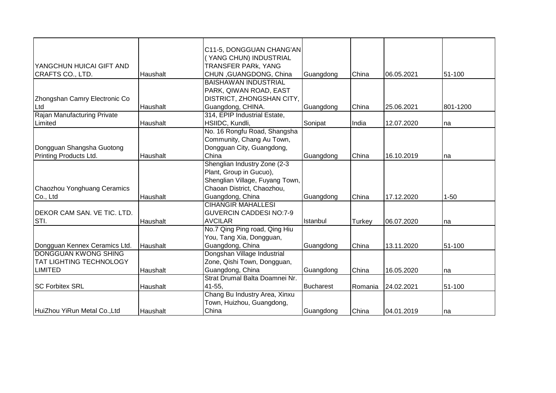|                                |          | C11-5, DONGGUAN CHANG'AN        |                  |         |            |          |
|--------------------------------|----------|---------------------------------|------------------|---------|------------|----------|
|                                |          | (YANG CHUN) INDUSTRIAL          |                  |         |            |          |
| YANGCHUN HUICAI GIFT AND       |          | <b>TRANSFER PARK, YANG</b>      |                  |         |            |          |
| CRAFTS CO., LTD.               | Haushalt | CHUN, GUANGDONG, China          | Guangdong        | China   | 06.05.2021 | 51-100   |
|                                |          | <b>BAISHAWAN INDUSTRIAL</b>     |                  |         |            |          |
|                                |          | PARK, QIWAN ROAD, EAST          |                  |         |            |          |
| Zhongshan Camry Electronic Co  |          | DISTRICT, ZHONGSHAN CITY,       |                  |         |            |          |
| Ltd                            | Haushalt | Guangdong, CHINA.               | Guangdong        | China   | 25.06.2021 | 801-1200 |
| Rajan Manufacturing Private    |          | 314, EPIP Industrial Estate,    |                  |         |            |          |
| Limited                        | Haushalt | HSIIDC, Kundli,                 | Sonipat          | India   | 12.07.2020 | na       |
|                                |          | No. 16 Rongfu Road, Shangsha    |                  |         |            |          |
|                                |          | Community, Chang Au Town,       |                  |         |            |          |
| Dongguan Shangsha Guotong      |          | Dongguan City, Guangdong,       |                  |         |            |          |
| Printing Products Ltd.         | Haushalt | China                           | Guangdong        | China   | 16.10.2019 | Ina      |
|                                |          | Shenglian Industry Zone (2-3    |                  |         |            |          |
|                                |          | Plant, Group in Gucuo),         |                  |         |            |          |
|                                |          | Shenglian Village, Fuyang Town, |                  |         |            |          |
| Chaozhou Yonghuang Ceramics    |          | Chaoan District, Chaozhou,      |                  |         |            |          |
| Co., Ltd                       | Haushalt | Guangdong, China                | Guangdong        | China   | 17.12.2020 | $1 - 50$ |
|                                |          | <b>CIHANGIR MAHALLESI</b>       |                  |         |            |          |
| DEKOR CAM SAN. VE TIC. LTD.    |          | <b>GUVERCIN CADDESI NO:7-9</b>  |                  |         |            |          |
| STI.                           | Haushalt | <b>AVCILAR</b>                  | Istanbul         | Turkey  | 06.07.2020 | Ina      |
|                                |          | No.7 Qing Ping road, Qing Hiu   |                  |         |            |          |
|                                |          | You, Tang Xia, Dongguan,        |                  |         |            |          |
| Dongguan Kennex Ceramics Ltd.  | Haushalt | Guangdong, China                | Guangdong        | China   | 13.11.2020 | 51-100   |
| <b>DONGGUAN KWONG SHING</b>    |          | Dongshan Village Industrial     |                  |         |            |          |
| <b>TAT LIGHTING TECHNOLOGY</b> |          | Zone, Qishi Town, Dongguan,     |                  |         |            |          |
| <b>LIMITED</b>                 | Haushalt | Guangdong, China                | Guangdong        | China   | 16.05.2020 | Ina      |
|                                |          | Strat Drumal Balta Doamnei Nr.  |                  |         |            |          |
| <b>SC Forbitex SRL</b>         | Haushalt | 41-55,                          | <b>Bucharest</b> | Romania | 24.02.2021 | 51-100   |
|                                |          | Chang Bu Industry Area, Xinxu   |                  |         |            |          |
|                                |          | Town, Huizhou, Guangdong,       |                  |         |            |          |
| HuiZhou YiRun Metal Co., Ltd   | Haushalt | China                           | Guangdong        | China   | 04.01.2019 | Ina      |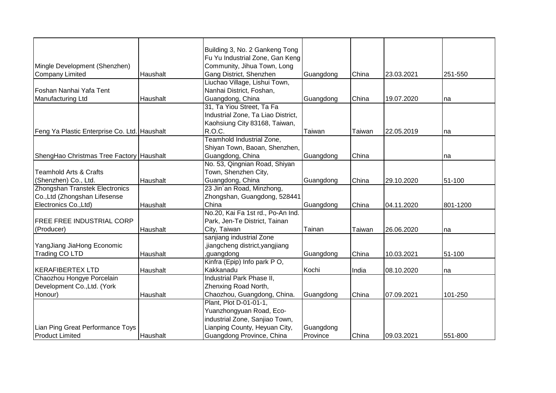|                                              |          | Building 3, No. 2 Gankeng Tong     |           |               |            |          |
|----------------------------------------------|----------|------------------------------------|-----------|---------------|------------|----------|
|                                              |          | Fu Yu Industrial Zone, Gan Keng    |           |               |            |          |
| Mingle Development (Shenzhen)                |          | Community, Jihua Town, Long        |           |               |            |          |
| <b>Company Limited</b>                       | Haushalt | Gang District, Shenzhen            | Guangdong | China         | 23.03.2021 | 251-550  |
|                                              |          | Liuchao Village, Lishui Town,      |           |               |            |          |
| Foshan Nanhai Yafa Tent                      |          | Nanhai District, Foshan,           |           |               |            |          |
| Manufacturing Ltd                            | Haushalt | Guangdong, China                   | Guangdong | China         | 19.07.2020 | na       |
|                                              |          | 31, Ta Yiou Street, Ta Fa          |           |               |            |          |
|                                              |          | Industrial Zone, Ta Liao District, |           |               |            |          |
|                                              |          | Kaohsiung City 83168, Taiwan,      |           |               |            |          |
|                                              |          | R.O.C.                             | Taiwan    | <b>Taiwan</b> | 22.05.2019 |          |
| Feng Ya Plastic Enterprise Co. Ltd. Haushalt |          | Teamhold Industrial Zone,          |           |               |            | na       |
|                                              |          |                                    |           |               |            |          |
|                                              |          | Shiyan Town, Baoan, Shenzhen,      |           |               |            |          |
| ShengHao Christmas Tree Factory Haushalt     |          | Guangdong, China                   | Guangdong | China         |            | na       |
|                                              |          | No. 53, Qingnian Road, Shiyan      |           |               |            |          |
| <b>Teamhold Arts &amp; Crafts</b>            |          | Town, Shenzhen City,               |           |               |            |          |
| (Shenzhen) Co., Ltd.                         | Haushalt | Guangdong, China                   | Guangdong | China         | 29.10.2020 | 51-100   |
| Zhongshan Transtek Electronics               |          | 23 Jin'an Road, Minzhong,          |           |               |            |          |
| Co., Ltd (Zhongshan Lifesense                |          | Zhongshan, Guangdong, 528441       |           |               |            |          |
| Electronics Co., Ltd)                        | Haushalt | China                              | Guangdong | China         | 04.11.2020 | 801-1200 |
|                                              |          | No.20, Kai Fa 1st rd., Po-An Ind.  |           |               |            |          |
| <b>FREE FREE INDUSTRIAL CORP</b>             |          | Park, Jen-Te District, Tainan      |           |               |            |          |
| (Producer)                                   | Haushalt | City, Taiwan                       | Tainan    | Taiwan        | 26.06.2020 | na       |
|                                              |          | sanjiang industrial Zone           |           |               |            |          |
| YangJiang JiaHong Economic                   |          | ,jiangcheng district,yangjiang     |           |               |            |          |
| <b>Trading CO LTD</b>                        | Haushalt | ,guangdong                         | Guangdong | China         | 10.03.2021 | 51-100   |
|                                              |          | Kinfra (Epip) Info park PO,        |           |               |            |          |
| <b>KERAFIBERTEX LTD</b>                      | Haushalt | Kakkanadu                          | Kochi     | India         | 08.10.2020 | na       |
| Chaozhou Hongye Porcelain                    |          | Industrial Park Phase II,          |           |               |            |          |
| Development Co., Ltd. (York                  |          | Zhenxing Road North,               |           |               |            |          |
| Honour)                                      | Haushalt | Chaozhou, Guangdong, China.        | Guangdong | China         | 07.09.2021 | 101-250  |
|                                              |          | Plant, Plot D-01-01-1,             |           |               |            |          |
|                                              |          | Yuanzhongyuan Road, Eco-           |           |               |            |          |
|                                              |          | industrial Zone, Sanjiao Town,     |           |               |            |          |
| Lian Ping Great Performance Toys             |          | Lianping County, Heyuan City,      | Guangdong |               |            |          |
| <b>Product Limited</b>                       | Haushalt | Guangdong Province, China          | Province  | China         | 09.03.2021 | 551-800  |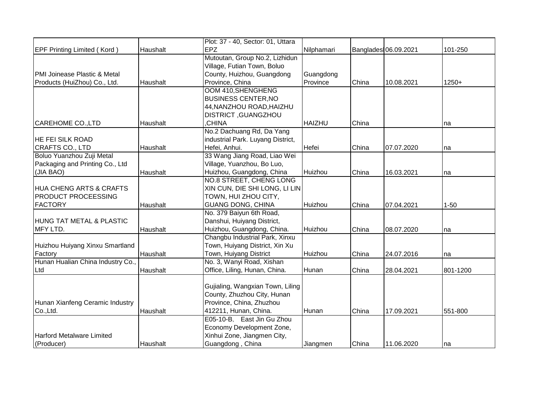|                                     |          | Plot: 37 - 40, Sector: 01, Uttara |               |       |                      |          |
|-------------------------------------|----------|-----------------------------------|---------------|-------|----------------------|----------|
| <b>EPF Printing Limited (Kord)</b>  | Haushalt | <b>EPZ</b>                        | Nilphamari    |       | Banglades 06.09.2021 | 101-250  |
|                                     |          | Mutoutan, Group No.2, Lizhidun    |               |       |                      |          |
|                                     |          | Village, Futian Town, Boluo       |               |       |                      |          |
| PMI Joinease Plastic & Metal        |          | County, Huizhou, Guangdong        | Guangdong     |       |                      |          |
| Products (HuiZhou) Co., Ltd.        | Haushalt | Province, China                   | Province      | China | 10.08.2021           | $1250+$  |
|                                     |          | OOM 410, SHENGHENG                |               |       |                      |          |
|                                     |          | <b>BUSINESS CENTER, NO</b>        |               |       |                      |          |
|                                     |          | 44, NANZHOU ROAD, HAIZHU          |               |       |                      |          |
|                                     |          | <b>DISTRICT, GUANGZHOU</b>        |               |       |                      |          |
| CAREHOME CO., LTD                   | Haushalt | CHINA,                            | <b>HAIZHU</b> | China |                      | na       |
|                                     |          | No.2 Dachuang Rd, Da Yang         |               |       |                      |          |
| <b>HE FEI SILK ROAD</b>             |          | industrial Park. Luyang District, |               |       |                      |          |
| CRAFTS CO., LTD                     | Haushalt | Hefei, Anhui.                     | Hefei         | China | 07.07.2020           | na       |
| Boluo Yuanzhou Zuji Metal           |          | 33 Wang Jiang Road, Liao Wei      |               |       |                      |          |
| Packaging and Printing Co., Ltd     |          | Village, Yuanzhou, Bo Luo,        |               |       |                      |          |
| (JIA BAO)                           | Haushalt | Huizhou, Guangdong, China         | Huizhou       | China | 16.03.2021           | na       |
|                                     |          | NO.8 STREET, CHENG LONG           |               |       |                      |          |
| <b>HUA CHENG ARTS &amp; CRAFTS</b>  |          | XIN CUN, DIE SHI LONG, LI LIN     |               |       |                      |          |
| <b>PRODUCT PROCEESSING</b>          |          | TOWN, HUI ZHOU CITY,              |               |       |                      |          |
| <b>FACTORY</b>                      | Haushalt | <b>GUANG DONG, CHINA</b>          | Huizhou       | China | 07.04.2021           | $1 - 50$ |
|                                     |          | No. 379 Baiyun 6th Road,          |               |       |                      |          |
| <b>HUNG TAT METAL &amp; PLASTIC</b> |          | Danshui, Huiyang District,        |               |       |                      |          |
| MFY LTD.                            | Haushalt | Huizhou, Guangdong, China.        | Huizhou       | China | 08.07.2020           | na       |
|                                     |          | Changbu Industrial Park, Xinxu    |               |       |                      |          |
| Huizhou Huiyang Xinxu Smartland     |          | Town, Huiyang District, Xin Xu    |               |       |                      |          |
| Factory                             | Haushalt | Town, Huiyang District            | Huizhou       | China | 24.07.2016           | na       |
| Hunan Hualian China Industry Co.,   |          | No. 3, Wanyi Road, Xishan         |               |       |                      |          |
| Ltd                                 | Haushalt | Office, Liling, Hunan, China.     | Hunan         | China | 28.04.2021           | 801-1200 |
|                                     |          |                                   |               |       |                      |          |
|                                     |          | Gujialing, Wangxian Town, Liling  |               |       |                      |          |
|                                     |          | County, Zhuzhou City, Hunan       |               |       |                      |          |
| Hunan Xianfeng Ceramic Industry     |          | Province, China, Zhuzhou          |               |       |                      |          |
| Co.,Ltd.                            | Haushalt | 412211, Hunan, China.             | Hunan         | China | 17.09.2021           | 551-800  |
|                                     |          | E05-10-B, East Jin Gu Zhou        |               |       |                      |          |
|                                     |          | Economy Development Zone,         |               |       |                      |          |
| Harford Metalware Limited           |          | Xinhui Zone, Jiangmen City,       |               |       |                      |          |
| (Producer)                          | Haushalt | Guangdong, China                  | Jiangmen      | China | 11.06.2020           | Ina      |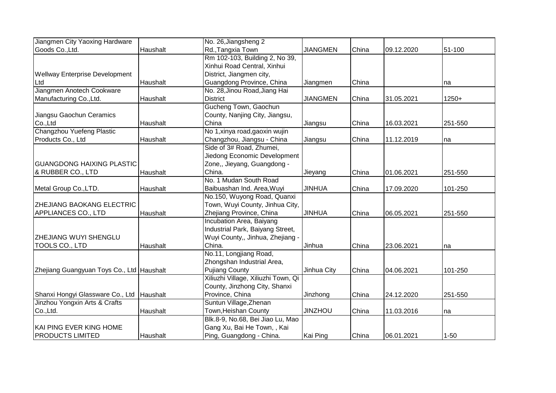| Jiangmen City Yaoxing Hardware            |          | No. 26, Jiangsheng 2                |                 |       |            |          |
|-------------------------------------------|----------|-------------------------------------|-----------------|-------|------------|----------|
| Goods Co., Ltd.                           | Haushalt | Rd., Tangxia Town                   | <b>JIANGMEN</b> | China | 09.12.2020 | 51-100   |
|                                           |          | Rm 102-103, Building 2, No 39,      |                 |       |            |          |
|                                           |          | Xinhui Road Central, Xinhui         |                 |       |            |          |
| <b>Wellway Enterprise Development</b>     |          | District, Jiangmen city,            |                 |       |            |          |
| Ltd                                       | Haushalt | Guangdong Province, China           | Jiangmen        | China |            | na       |
| Jiangmen Anotech Cookware                 |          | No. 28, Jinou Road, Jiang Hai       |                 |       |            |          |
| Manufacturing Co., Ltd.                   | Haushalt | <b>District</b>                     | <b>JIANGMEN</b> | China | 31.05.2021 | $1250+$  |
|                                           |          | Gucheng Town, Gaochun               |                 |       |            |          |
| Jiangsu Gaochun Ceramics                  |          | County, Nanjing City, Jiangsu,      |                 |       |            |          |
| Co.,Ltd                                   | Haushalt | China                               | Jiangsu         | China | 16.03.2021 | 251-550  |
| Changzhou Yuefeng Plastic                 |          | No 1, xinya road, gaoxin wujin      |                 |       |            |          |
| Products Co., Ltd                         | Haushalt | Changzhou, Jiangsu - China          | Jiangsu         | China | 11.12.2019 | na       |
|                                           |          | Side of 3# Road, Zhumei,            |                 |       |            |          |
|                                           |          | Jiedong Economic Development        |                 |       |            |          |
| <b>GUANGDONG HAIXING PLASTIC</b>          |          | Zone,, Jieyang, Guangdong -         |                 |       |            |          |
| & RUBBER CO., LTD                         | Haushalt | China.                              | Jieyang         | China | 01.06.2021 | 251-550  |
|                                           |          | No. 1 Mudan South Road              |                 |       |            |          |
| Metal Group Co., LTD.                     | Haushalt | Baibuashan Ind. Area, Wuyi          | <b>JINHUA</b>   | China | 17.09.2020 | 101-250  |
|                                           |          | No.150, Wuyong Road, Quanxi         |                 |       |            |          |
| <b>ZHEJIANG BAOKANG ELECTRIC</b>          |          | Town, Wuyi County, Jinhua City,     |                 |       |            |          |
| <b>APPLIANCES CO., LTD</b>                | Haushalt | Zhejiang Province, China            | <b>JINHUA</b>   | China | 06.05.2021 | 251-550  |
|                                           |          | Incubation Area, Baiyang            |                 |       |            |          |
|                                           |          | Industrial Park, Baiyang Street,    |                 |       |            |          |
| <b>ZHEJIANG WUYI SHENGLU</b>              |          | Wuyi County,, Jinhua, Zhejiang -    |                 |       |            |          |
| TOOLS CO., LTD                            | Haushalt | China.                              | Jinhua          | China | 23.06.2021 | na       |
|                                           |          | No.11, Longjiang Road,              |                 |       |            |          |
|                                           |          | Zhongshan Industrial Area,          |                 |       |            |          |
| Zhejiang Guangyuan Toys Co., Ltd Haushalt |          | <b>Pujiang County</b>               | Jinhua City     | China | 04.06.2021 | 101-250  |
|                                           |          | Xiliuzhi Village, Xiliuzhi Town, Qi |                 |       |            |          |
|                                           |          | County, Jinzhong City, Shanxi       |                 |       |            |          |
| Shanxi Hongyi Glassware Co., Ltd Haushalt |          | Province, China                     | Jinzhong        | China | 24.12.2020 | 251-550  |
| Jinzhou Yongxin Arts & Crafts             |          | Suntun Village, Zhenan              |                 |       |            |          |
| Co., Ltd.                                 | Haushalt | Town, Heishan County                | <b>JINZHOU</b>  | China | 11.03.2016 | na       |
|                                           |          | Blk.8-9, No.68, Bei Jiao Lu, Mao    |                 |       |            |          |
| KAI PING EVER KING HOME                   |          | Gang Xu, Bai He Town, , Kai         |                 |       |            |          |
| <b>PRODUCTS LIMITED</b>                   | Haushalt | Ping, Guangdong - China.            | Kai Ping        | China | 06.01.2021 | $1 - 50$ |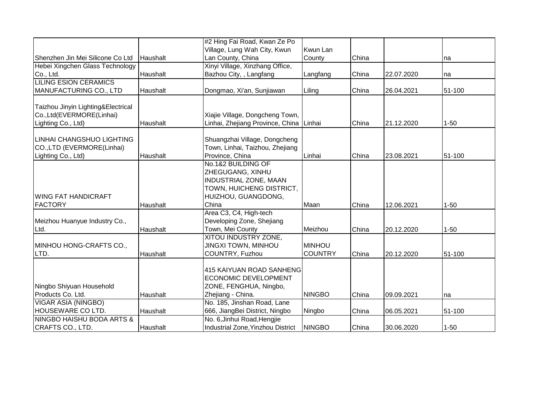|                                                        |          | #2 Hing Fai Road, Kwan Ze Po                                  |                |       |            |          |
|--------------------------------------------------------|----------|---------------------------------------------------------------|----------------|-------|------------|----------|
|                                                        |          | Village, Lung Wah City, Kwun                                  | Kwun Lan       |       |            |          |
| Shenzhen Jin Mei Silicone Co Ltd                       | Haushalt | Lan County, China                                             | County         | China |            | na       |
| Hebei Xingchen Glass Technology                        |          | Xinyi Village, Xinzhang Office,                               |                |       |            |          |
| Co., Ltd.                                              | Haushalt | Bazhou City, , Langfang                                       | Langfang       | China | 22.07.2020 | na       |
| <b>LILING ESION CERAMICS</b>                           |          |                                                               |                |       |            |          |
| MANUFACTURING CO., LTD                                 | Haushalt | Dongmao, Xi'an, Sunjiawan                                     | Liling         | China | 26.04.2021 | 51-100   |
| Taizhou Jinyin Lighting&Electrical                     |          |                                                               |                |       |            |          |
| Co.,Ltd(EVERMORE(Linhai)                               |          | Xiajie Village, Dongcheng Town,                               |                |       |            |          |
| Lighting Co., Ltd)                                     | Haushalt | Linhai, Zhejiang Province, China                              | Linhai         | China | 21.12.2020 | $1 - 50$ |
|                                                        |          |                                                               |                |       |            |          |
| LINHAI CHANGSHUO LIGHTING                              |          | Shuangzhai Village, Dongcheng                                 |                |       |            |          |
| CO.,LTD (EVERMORE(Linhai)                              |          | Town, Linhai, Taizhou, Zhejiang                               |                |       |            |          |
| Lighting Co., Ltd)                                     | Haushalt | Province, China                                               | Linhai         | China | 23.08.2021 | 51-100   |
|                                                        |          | No.1&2 BUILDING OF                                            |                |       |            |          |
|                                                        |          | ZHEGUGANG, XINHU                                              |                |       |            |          |
|                                                        |          | INDUSTRIAL ZONE, MAAN                                         |                |       |            |          |
|                                                        |          | TOWN, HUICHENG DISTRICT,                                      |                |       |            |          |
| <b>WING FAT HANDICRAFT</b>                             |          | HUIZHOU, GUANGDONG,                                           |                |       |            |          |
| <b>FACTORY</b>                                         | Haushalt | China                                                         | Maan           | China | 12.06.2021 | $1 - 50$ |
|                                                        |          | Area C3, C4, High-tech                                        |                |       |            |          |
| Meizhou Huanyue Industry Co.,                          |          | Developing Zone, Shejiang                                     |                |       |            |          |
| Ltd.                                                   | Haushalt | Town, Mei County                                              | Meizhou        | China | 20.12.2020 | $1 - 50$ |
|                                                        |          | XITOU INDUSTRY ZONE,                                          |                |       |            |          |
| MINHOU HONG-CRAFTS CO.,                                |          | <b>JINGXI TOWN, MINHOU</b>                                    | <b>MINHOU</b>  |       |            |          |
| LTD.                                                   | Haushalt | COUNTRY, Fuzhou                                               | <b>COUNTRY</b> | China | 20.12.2020 | 51-100   |
|                                                        |          |                                                               |                |       |            |          |
|                                                        |          | 415 KAIYUAN ROAD SANHENG                                      |                |       |            |          |
|                                                        |          | <b>ECONOMIC DEVELOPMENT</b>                                   |                |       |            |          |
| Ningbo Shiyuan Household                               |          | ZONE, FENGHUA, Ningbo,                                        |                |       |            |          |
| Products Co. Ltd.                                      | Haushalt | Zhejiang - China.<br>No. 185, Jinshan Road, Lane              | <b>NINGBO</b>  | China | 09.09.2021 | na       |
| <b>VIGAR ASIA (NINGBO)</b><br><b>HOUSEWARE CO LTD.</b> |          |                                                               |                |       |            |          |
| <b>NINGBO HAISHU BODA ARTS &amp;</b>                   | Haushalt | 666, JiangBei District, Ningbo<br>No. 6, Jinhui Road, Hengjie | Ningbo         | China | 06.05.2021 | 51-100   |
|                                                        |          |                                                               |                |       |            |          |
| CRAFTS CO., LTD.                                       | Haushalt | Industrial Zone, Yinzhou District                             | <b>NINGBO</b>  | China | 30.06.2020 | $1 - 50$ |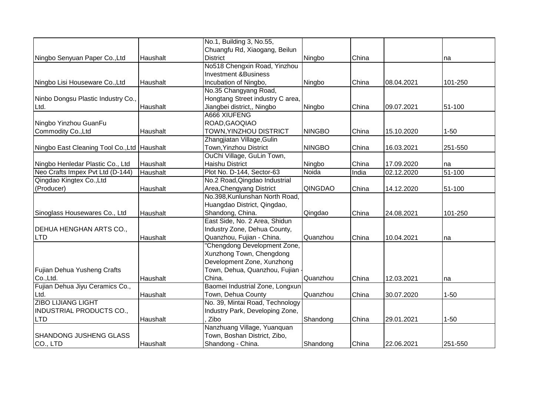|                                               |          | No.1, Building 3, No.55,         |               |       |            |          |
|-----------------------------------------------|----------|----------------------------------|---------------|-------|------------|----------|
|                                               |          | Chuangfu Rd, Xiaogang, Beilun    |               |       |            |          |
| Ningbo Senyuan Paper Co., Ltd                 | Haushalt | <b>District</b>                  | Ningbo        | China |            | na       |
|                                               |          | No518 Chengxin Road, Yinzhou     |               |       |            |          |
|                                               |          | <b>Investment &amp;Business</b>  |               |       |            |          |
| Ningbo Lisi Houseware Co., Ltd                | Haushalt | Incubation of Ningbo,            | Ningbo        | China | 08.04.2021 | 101-250  |
|                                               |          | No.35 Changyang Road,            |               |       |            |          |
| Ninbo Dongsu Plastic Industry Co.,            |          | Hongtang Street industry C area, |               |       |            |          |
| Ltd.                                          | Haushalt | Jiangbei district,, Ningbo       | Ningbo        | China | 09.07.2021 | 51-100   |
|                                               |          | A666 XIUFENG                     |               |       |            |          |
| Ningbo Yinzhou GuanFu                         |          | ROAD, GAOQIAO                    |               |       |            |          |
| Commodity Co., Ltd                            | Haushalt | TOWN, YINZHOU DISTRICT           | <b>NINGBO</b> | China | 15.10.2020 | $1 - 50$ |
|                                               |          | Zhangjiatan Village, Gulin       |               |       |            |          |
| Ningbo East Cleaning Tool Co., Ltd   Haushalt |          | Town, Yinzhou District           | <b>NINGBO</b> | China | 16.03.2021 | 251-550  |
|                                               |          | OuChi Village, GuLin Town,       |               |       |            |          |
| Ningbo Henledar Plastic Co., Ltd              | Haushalt | <b>Haishu District</b>           | Ningbo        | China | 17.09.2020 | na       |
| Neo Crafts Impex Pvt Ltd (D-144)              | Haushalt | Plot No. D-144, Sector-63        | Noida         | India | 02.12.2020 | 51-100   |
| Qingdao Kingtex Co., Ltd                      |          | No.2 Road, Qingdao Industrial    |               |       |            |          |
| (Producer)                                    | Haushalt | Area, Chengyang District         | QINGDAO       | China | 14.12.2020 | 51-100   |
|                                               |          | No.398, Kunlunshan North Road,   |               |       |            |          |
|                                               |          | Huangdao District, Qingdao,      |               |       |            |          |
| Sinoglass Housewares Co., Ltd                 | Haushalt | Shandong, China.                 | Qingdao       | China | 24.08.2021 | 101-250  |
|                                               |          | East Side, No. 2 Area, Shidun    |               |       |            |          |
| DEHUA HENGHAN ARTS CO.,                       |          | Industry Zone, Dehua County,     |               |       |            |          |
| <b>LTD</b>                                    | Haushalt | Quanzhou, Fujian - China.        | Quanzhou      | China | 10.04.2021 | na       |
|                                               |          | "Chengdong Development Zone,     |               |       |            |          |
|                                               |          | Xunzhong Town, Chengdong         |               |       |            |          |
|                                               |          | Development Zone, Xunzhong       |               |       |            |          |
| Fujian Dehua Yusheng Crafts                   |          | Town, Dehua, Quanzhou, Fujian    |               |       |            |          |
| Co., Ltd.                                     | Haushalt | China.                           | Quanzhou      | China | 12.03.2021 | na       |
| Fujian Dehua Jiyu Ceramics Co.,               |          | Baomei Industrial Zone, Longxun  |               |       |            |          |
| Ltd.                                          | Haushalt | Town, Dehua County               | Quanzhou      | China | 30.07.2020 | $1 - 50$ |
| <b>ZIBO LIJIANG LIGHT</b>                     |          | No. 39, Mintai Road, Technology  |               |       |            |          |
| <b>INDUSTRIAL PRODUCTS CO.,</b>               |          | Industry Park, Developing Zone,  |               |       |            |          |
| <b>LTD</b>                                    | Haushalt | Zibo                             | Shandong      | China | 29.01.2021 | $1 - 50$ |
|                                               |          | Nanzhuang Village, Yuanquan      |               |       |            |          |
| SHANDONG JUSHENG GLASS                        |          | Town, Boshan District, Zibo,     |               |       |            |          |
| CO., LTD                                      | Haushalt | Shandong - China.                | Shandong      | China | 22.06.2021 | 251-550  |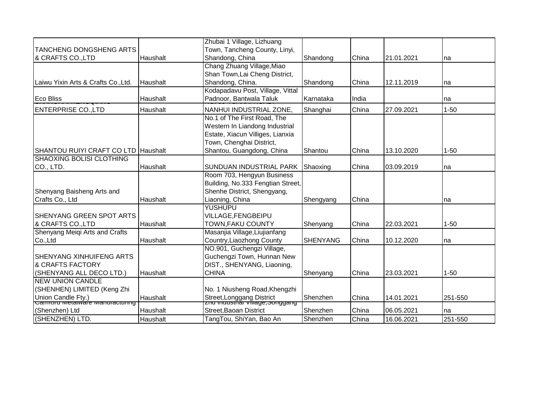|                                                                   |                 | Zhubai 1 Village, Lizhuang                                             |                 |       |            |          |
|-------------------------------------------------------------------|-----------------|------------------------------------------------------------------------|-----------------|-------|------------|----------|
| <b>TANCHENG DONGSHENG ARTS</b>                                    |                 | Town, Tancheng County, Linyi,                                          |                 |       |            |          |
| & CRAFTS CO.,LTD                                                  | Haushalt        | Shandong, China                                                        | Shandong        | China | 21.01.2021 | na       |
|                                                                   |                 | Chang Zhuang Village, Miao                                             |                 |       |            |          |
|                                                                   |                 | Shan Town, Lai Cheng District,                                         |                 |       |            |          |
| Laiwu Yixin Arts & Crafts Co., Ltd.                               | <b>Haushalt</b> | Shandong, China.                                                       | Shandong        | China | 12.11.2019 | na       |
|                                                                   |                 | Kodapadavu Post, Village, Vittal                                       |                 |       |            |          |
| <b>Eco Bliss</b>                                                  | Haushalt        | Padnoor, Bantwala Taluk                                                | Karnataka       | India |            | na       |
| <b>ENTERPRISE CO.,LTD</b>                                         | Haushalt        | NANHUI INDUSTRIAL ZONE.                                                | Shanghai        | China | 27.09.2021 | $1 - 50$ |
|                                                                   |                 | No.1 of The First Road, The                                            |                 |       |            |          |
|                                                                   |                 | Western In Liandong Industrial                                         |                 |       |            |          |
|                                                                   |                 | Estate, Xiacun Villiges, Lianxia                                       |                 |       |            |          |
|                                                                   |                 | Town, Chenghai District,                                               |                 |       |            |          |
| SHANTOU RUIYI CRAFT CO LTD Haushalt                               |                 | Shantou, Guangdong, China                                              | Shantou         | China | 13.10.2020 | $1 - 50$ |
| <b>SHAOXING BOLISI CLOTHING</b>                                   |                 |                                                                        |                 |       |            |          |
| CO., LTD.                                                         | Haushalt        | SUNDUAN INDUSTRIAL PARK                                                | Shaoxing        | China | 03.09.2019 | na       |
|                                                                   |                 | Room 703, Hengyun Business                                             |                 |       |            |          |
|                                                                   |                 | Building, No.333 Fengtian Street,                                      |                 |       |            |          |
| Shenyang Baisheng Arts and                                        |                 | Shenhe District, Shengyang,                                            |                 |       |            |          |
| Crafts Co., Ltd                                                   | Haushalt        | Liaoning, China                                                        | Shengyang       | China |            | na       |
|                                                                   |                 | <b>YUSHUPU</b>                                                         |                 |       |            |          |
| SHENYANG GREEN SPOT ARTS                                          |                 | VILLAGE, FENGBEIPU                                                     |                 |       |            |          |
| & CRAFTS CO.,LTD                                                  | Haushalt        | TOWN, FAKU COUNTY                                                      | Shenyang        | China | 22.03.2021 | $1 - 50$ |
| Shenyang Meiqi Arts and Crafts                                    |                 | Masanjia Village, Liujianfang                                          |                 |       |            |          |
| Co.,Ltd                                                           | <b>Haushalt</b> | Country, Liaozhong County                                              | <b>SHENYANG</b> | China | 10.12.2020 | na       |
|                                                                   |                 | NO.901, Guchengzi Village,                                             |                 |       |            |          |
| <b>SHENYANG XINHUIFENG ARTS</b>                                   |                 | Guchengzi Town, Hunnan New                                             |                 |       |            |          |
| <b>&amp; CRAFTS FACTORY</b>                                       |                 | DIST., SHENYANG, Liaoning,                                             |                 |       |            |          |
| (SHENYANG ALL DECO LTD.)                                          | Haushalt        | <b>CHINA</b>                                                           | Shenyang        | China | 23.03.2021 | $1 - 50$ |
| <b>NEW UNION CANDLE</b>                                           |                 |                                                                        |                 |       |            |          |
| (SHENHEN) LIMITED (Keng Zhi                                       |                 | No. 1 Niusheng Road, Khengzhi                                          |                 |       |            |          |
| Union Candle Fty.)<br>  <del>Carmoru меเаเพลาe манитасเนннg</del> | Haushalt        | Street,Longgang District<br><sub>I</sub> znu muusunar village,Songgang | Shenzhen        | China | 14.01.2021 | 251-550  |
| (Shenzhen) Ltd                                                    | Haushalt        | Street, Baoan District                                                 | Shenzhen        | China | 06.05.2021 | na       |
| (SHENZHEN) LTD.                                                   | Haushalt        | TangTou, ShiYan, Bao An                                                | Shenzhen        | China | 16.06.2021 | 251-550  |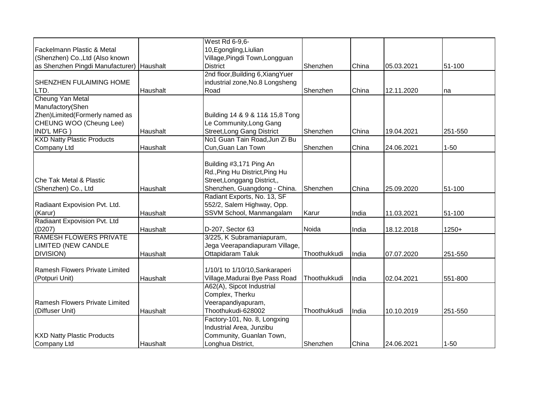|                                   |          | West Rd 6-9,6-                    |              |       |            |          |
|-----------------------------------|----------|-----------------------------------|--------------|-------|------------|----------|
| Fackelmann Plastic & Metal        |          | 10, Egongling, Liulian            |              |       |            |          |
| (Shenzhen) Co., Ltd (Also known   |          | Village, Pingdi Town, Longguan    |              |       |            |          |
| as Shenzhen Pingdi Manufacturer)  | Haushalt | <b>District</b>                   | Shenzhen     | China | 05.03.2021 | 51-100   |
|                                   |          | 2nd floor, Building 6, Xiang Yuer |              |       |            |          |
| <b>SHENZHEN FULAIMING HOME</b>    |          | industrial zone, No.8 Longsheng   |              |       |            |          |
| LTD.                              | Haushalt | Road                              | Shenzhen     | China | 12.11.2020 | na       |
| Cheung Yan Metal                  |          |                                   |              |       |            |          |
| Manufactory(Shen                  |          |                                   |              |       |            |          |
| Zhen) Limited (Formerly named as  |          | Building 14 & 9 & 11& 15,8 Tong   |              |       |            |          |
| CHEUNG WOO (Cheung Lee)           |          | Le Community, Long Gang           |              |       |            |          |
| IND'L MFG)                        | Haushalt | <b>Street, Long Gang District</b> | Shenzhen     | China | 19.04.2021 | 251-550  |
| <b>KXD Natty Plastic Products</b> |          | No1 Guan Tain Road, Jun Zi Bu     |              |       |            |          |
| Company Ltd                       | Haushalt | Cun, Guan Lan Town                | Shenzhen     | China | 24.06.2021 | $1 - 50$ |
|                                   |          |                                   |              |       |            |          |
|                                   |          | Building #3,171 Ping An           |              |       |            |          |
|                                   |          | Rd., Ping Hu District, Ping Hu    |              |       |            |          |
| Che Tak Metal & Plastic           |          | Street, Longgang District,,       |              |       |            |          |
| (Shenzhen) Co., Ltd               | Haushalt | Shenzhen, Guangdong - China.      | Shenzhen     | China | 25.09.2020 | 51-100   |
|                                   |          | Radiant Exports, No. 13, SF       |              |       |            |          |
| Radiaant Expovision Pvt. Ltd.     |          | 552/2, Salem Highway, Opp.        |              |       |            |          |
| (Karur)                           | Haushalt | SSVM School, Manmangalam          | Karur        | India | 11.03.2021 | 51-100   |
| Radiaant Expovision Pvt. Ltd      |          |                                   |              |       |            |          |
| (D207)                            | Haushalt | D-207, Sector 63                  | Noida        | India | 18.12.2018 | $1250+$  |
| <b>RAMESH FLOWERS PRIVATE</b>     |          | 3/225, K Subramaniapuram,         |              |       |            |          |
| <b>LIMITED (NEW CANDLE</b>        |          | Jega Veerapandiapuram Village,    |              |       |            |          |
| <b>DIVISION</b> )                 | Haushalt | Ottapidaram Taluk                 | Thoothukkudi | India | 07.07.2020 | 251-550  |
|                                   |          |                                   |              |       |            |          |
| Ramesh Flowers Private Limited    |          | 1/10/1 to 1/10/10, Sankaraperi    |              |       |            |          |
| (Potpuri Unit)                    | Haushalt | Village, Madurai Bye Pass Road    | Thoothukkudi | India | 02.04.2021 | 551-800  |
|                                   |          | A62(A), Sipcot Industrial         |              |       |            |          |
|                                   |          | Complex, Therku                   |              |       |            |          |
| Ramesh Flowers Private Limited    |          | Veerapandiyapuram,                |              |       |            |          |
| (Diffuser Unit)                   | Haushalt | Thoothukudi-628002                | Thoothukkudi | India | 10.10.2019 | 251-550  |
|                                   |          | Factory-101, No. 8, Longxing      |              |       |            |          |
|                                   |          | Industrial Area, Junzibu          |              |       |            |          |
| <b>KXD Natty Plastic Products</b> |          | Community, Guanlan Town,          |              |       |            |          |
| Company Ltd                       | Haushalt | Longhua District,                 | Shenzhen     | China | 24.06.2021 | $1 - 50$ |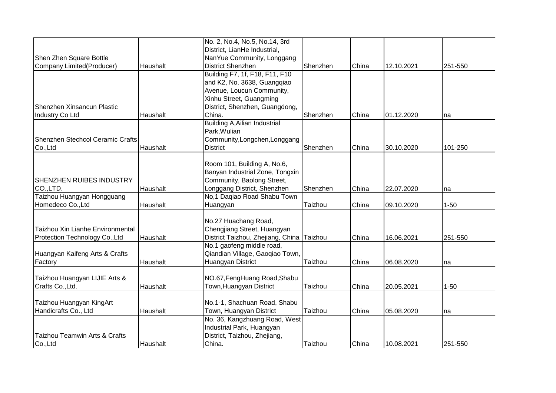|                                  |          | No. 2, No.4, No.5, No.14, 3rd        |          |       |            |          |
|----------------------------------|----------|--------------------------------------|----------|-------|------------|----------|
|                                  |          | District, LianHe Industrial,         |          |       |            |          |
| Shen Zhen Square Bottle          |          | NanYue Community, Longgang           |          |       |            |          |
| Company Limited(Producer)        | Haushalt | District Shenzhen                    | Shenzhen | China | 12.10.2021 | 251-550  |
|                                  |          | Building F7, 1f, F18, F11, F10       |          |       |            |          |
|                                  |          | and K2, No. 3638, Guangqiao          |          |       |            |          |
|                                  |          | Avenue, Loucun Community,            |          |       |            |          |
|                                  |          | Xinhu Street, Guangming              |          |       |            |          |
| Shenzhen Xinsancun Plastic       |          | District, Shenzhen, Guangdong,       |          |       |            |          |
| Industry Co Ltd                  | Haushalt | China.                               | Shenzhen | China | 01.12.2020 | na       |
|                                  |          | <b>Building A, Ailian Industrial</b> |          |       |            |          |
|                                  |          | Park, Wulian                         |          |       |            |          |
| Shenzhen Stechcol Ceramic Crafts |          | Community, Longchen, Longgang        |          |       |            |          |
| Co.,Ltd                          | Haushalt | <b>District</b>                      | Shenzhen | China | 30.10.2020 | 101-250  |
|                                  |          |                                      |          |       |            |          |
|                                  |          | Room 101, Building A, No.6,          |          |       |            |          |
|                                  |          | Banyan Industrial Zone, Tongxin      |          |       |            |          |
| <b>SHENZHEN RUIBES INDUSTRY</b>  |          | Community, Baolong Street,           |          |       |            |          |
| CO.,LTD.                         | Haushalt | Longgang District, Shenzhen          | Shenzhen | China | 22.07.2020 | na       |
| Taizhou Huangyan Hongguang       |          | No,1 Dagiao Road Shabu Town          |          |       |            |          |
| Homedeco Co., Ltd                | Haushalt | Huangyan                             | Taizhou  | China | 09.10.2020 | $1 - 50$ |
|                                  |          |                                      |          |       |            |          |
|                                  |          | No.27 Huachang Road,                 |          |       |            |          |
| Taizhou Xin Lianhe Environmental |          | Chengjiang Street, Huangyan          |          |       |            |          |
| Protection Technology Co., Ltd   | Haushalt | District Taizhou, Zhejiang, China    | Taizhou  | China | 16.06.2021 | 251-550  |
|                                  |          | No.1 gaofeng middle road,            |          |       |            |          |
| Huangyan Kaifeng Arts & Crafts   |          | Qiandian Village, Gaoqiao Town,      |          |       |            |          |
| Factory                          | Haushalt | Huangyan District                    | Taizhou  | China | 06.08.2020 | na       |
|                                  |          |                                      |          |       |            |          |
| Taizhou Huangyan LIJIE Arts &    |          | NO.67, FengHuang Road, Shabu         |          |       |            |          |
| Crafts Co., Ltd.                 | Haushalt | Town, Huangyan District              | Taizhou  | China | 20.05.2021 | $1 - 50$ |
|                                  |          |                                      |          |       |            |          |
| Taizhou Huangyan KingArt         |          | No.1-1, Shachuan Road, Shabu         |          |       |            |          |
| Handicrafts Co., Ltd             | Haushalt | Town, Huangyan District              | Taizhou  | China | 05.08.2020 | na       |
|                                  |          | No. 36, Kangzhuang Road, West        |          |       |            |          |
|                                  |          | Industrial Park, Huangyan            |          |       |            |          |
| Taizhou Teamwin Arts & Crafts    |          | District, Taizhou, Zhejiang,         |          |       |            |          |
| Co.,Ltd                          | Haushalt | China.                               | Taizhou  | China | 10.08.2021 | 251-550  |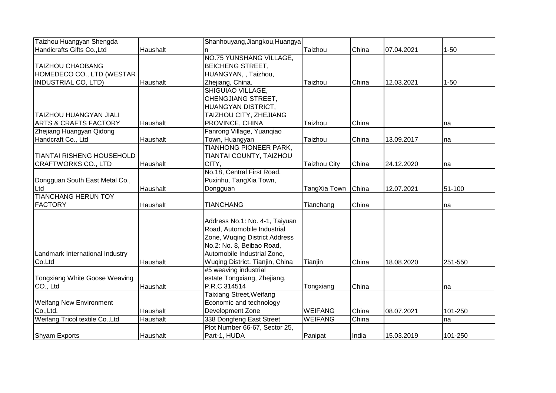| Taizhou Huangyan Shengda         |          | Shanhouyang, Jiangkou, Huangya  |                     |       |            |          |
|----------------------------------|----------|---------------------------------|---------------------|-------|------------|----------|
| Handicrafts Gifts Co., Ltd       | Haushalt |                                 | Taizhou             | China | 07.04.2021 | $1 - 50$ |
|                                  |          | <b>NO.75 YUNSHANG VILLAGE,</b>  |                     |       |            |          |
| <b>TAIZHOU CHAOBANG</b>          |          | <b>BEICHENG STREET,</b>         |                     |       |            |          |
| HOMEDECO CO., LTD (WESTAR        |          | HUANGYAN, , Taizhou,            |                     |       |            |          |
| <b>INDUSTRIAL CO, LTD)</b>       | Haushalt | Zhejiang, China.                | Taizhou             | China | 12.03.2021 | $1 - 50$ |
|                                  |          | SHIGUIAO VILLAGE,               |                     |       |            |          |
|                                  |          | CHENGJIANG STREET,              |                     |       |            |          |
|                                  |          | HUANGYAN DISTRICT,              |                     |       |            |          |
| <b>TAIZHOU HUANGYAN JIALI</b>    |          | TAIZHOU CITY, ZHEJIANG          |                     |       |            |          |
| <b>ARTS &amp; CRAFTS FACTORY</b> | Haushalt | PROVINCE, CHINA                 | Taizhou             | China |            | na       |
| Zhejiang Huangyan Qidong         |          | Fanrong Village, Yuanqiao       |                     |       |            |          |
| Handcraft Co., Ltd               | Haushalt | Town, Huangyan                  | Taizhou             | China | 13.09.2017 | na       |
|                                  |          | <b>TIANHONG PIONEER PARK,</b>   |                     |       |            |          |
| <b>TIANTAI RISHENG HOUSEHOLD</b> |          | TIANTAI COUNTY, TAIZHOU         |                     |       |            |          |
| CRAFTWORKS CO., LTD              | Haushalt | CITY,                           | <b>Taizhou City</b> | China | 24.12.2020 | na       |
|                                  |          | No.18, Central First Road,      |                     |       |            |          |
| Dongguan South East Metal Co.,   |          | Puxinhu, TangXia Town,          |                     |       |            |          |
| Ltd                              | Haushalt | Dongguan                        | TangXia Town        | China | 12.07.2021 | 51-100   |
| <b>TIANCHANG HERUN TOY</b>       |          |                                 |                     |       |            |          |
| <b>FACTORY</b>                   | Haushalt | <b>TIANCHANG</b>                | Tianchang           | China |            | na       |
|                                  |          |                                 |                     |       |            |          |
|                                  |          | Address No.1: No. 4-1, Taiyuan  |                     |       |            |          |
|                                  |          | Road, Automobile Industrial     |                     |       |            |          |
|                                  |          | Zone, Wuqing District Address   |                     |       |            |          |
|                                  |          | No.2: No. 8, Beibao Road,       |                     |       |            |          |
| Landmark International Industry  |          | Automobile Industrial Zone,     |                     |       |            |          |
| Co.Ltd                           | Haushalt | Wuqing District, Tianjin, China | Tianjin             | China | 18.08.2020 | 251-550  |
|                                  |          | #5 weaving industrial           |                     |       |            |          |
| Tongxiang White Goose Weaving    |          | estate Tongxiang, Zhejiang,     |                     |       |            |          |
| CO., Ltd                         | Haushalt | P.R.C 314514                    | Tongxiang           | China |            | Ina      |
|                                  |          | <b>Taixiang Street, Weifang</b> |                     |       |            |          |
| <b>Weifang New Environment</b>   |          | Economic and technology         |                     |       |            |          |
| Co., Ltd.                        | Haushalt | Development Zone                | <b>WEIFANG</b>      | China | 08.07.2021 | 101-250  |
| Weifang Tricol textile Co., Ltd  | Haushalt | 338 Dongfeng East Street        | <b>WEIFANG</b>      | China |            | na       |
|                                  |          | Plot Number 66-67, Sector 25,   |                     |       |            |          |
| <b>Shyam Exports</b>             | Haushalt | Part-1, HUDA                    | Panipat             | India | 15.03.2019 | 101-250  |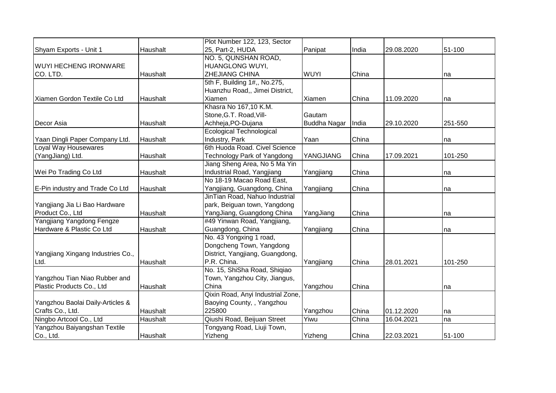|                                   |                 | Plot Number 122, 123, Sector      |              |       |            |         |
|-----------------------------------|-----------------|-----------------------------------|--------------|-------|------------|---------|
| Shyam Exports - Unit 1            | Haushalt        | 25, Part-2, HUDA                  | Panipat      | India | 29.08.2020 | 51-100  |
|                                   |                 | NO. 5, QUNSHAN ROAD,              |              |       |            |         |
| <b>WUYI HECHENG IRONWARE</b>      |                 | HUANGLONG WUYI,                   |              |       |            |         |
| CO. LTD.                          | Haushalt        | <b>ZHEJIANG CHINA</b>             | <b>WUYI</b>  | China |            | na      |
|                                   |                 | 5th F, Building 1#,, No.275,      |              |       |            |         |
|                                   |                 | Huanzhu Road,, Jimei District,    |              |       |            |         |
| Xiamen Gordon Textile Co Ltd      | Haushalt        | Xiamen                            | Xiamen       | China | 11.09.2020 | na      |
|                                   |                 | Khasra No 167,10 K.M.             |              |       |            |         |
|                                   |                 | Stone, G.T. Road, Vill-           | Gautam       |       |            |         |
| Decor Asia                        | Haushalt        | Achheja, PO-Dujana                | Buddha Nagar | India | 29.10.2020 | 251-550 |
|                                   |                 | <b>Ecological Technological</b>   |              |       |            |         |
| Yaan Dingli Paper Company Ltd.    | Haushalt        | Industry, Park                    | Yaan         | China |            | na      |
| <b>Loyal Way Housewares</b>       |                 | 6th Huoda Road, Civel Science     |              |       |            |         |
| (YangJiang) Ltd.                  | Haushalt        | Technology Park of Yangdong       | YANGJIANG    | China | 17.09.2021 | 101-250 |
|                                   |                 | Jiang Sheng Area, No 5 Ma Yin     |              |       |            |         |
| Wei Po Trading Co Ltd             | Haushalt        | Industrial Road, Yangjiang        | Yangjiang    | China |            | na      |
|                                   |                 | No 18-19 Macao Road East,         |              |       |            |         |
| E-Pin industry and Trade Co Ltd   | Haushalt        | Yangjiang, Guangdong, China       | Yangjiang    | China |            | na      |
|                                   |                 | JinTian Road, Nahuo Industrial    |              |       |            |         |
| Yangjiang Jia Li Bao Hardware     |                 | park, Beiguan town, Yangdong      |              |       |            |         |
| Product Co., Ltd                  | Haushalt        | YangJiang, Guangdong China        | YangJiang    | China |            | na      |
| Yangjiang Yangdong Fengze         |                 | #49 Yinwan Road, Yangjiang,       |              |       |            |         |
| Hardware & Plastic Co Ltd         | Haushalt        | Guangdong, China                  | Yangjiang    | China |            | na      |
|                                   |                 | No. 43 Yongxing 1 road,           |              |       |            |         |
|                                   |                 | Dongcheng Town, Yangdong          |              |       |            |         |
| Yangjiang Xingang Industries Co., |                 | District, Yangjiang, Guangdong,   |              |       |            |         |
| Ltd.                              | Haushalt        | P.R. China.                       | Yangjiang    | China | 28.01.2021 | 101-250 |
|                                   |                 | No. 15, ShiSha Road, Shiqiao      |              |       |            |         |
| Yangzhou Tian Niao Rubber and     |                 | Town, Yangzhou City, Jiangus,     |              |       |            |         |
| Plastic Products Co., Ltd         | Haushalt        | China                             | Yangzhou     | China |            | na      |
|                                   |                 | Qixin Road, Anyi Industrial Zone, |              |       |            |         |
| Yangzhou Baolai Daily-Articles &  |                 | Baoying County, , Yangzhou        |              |       |            |         |
| Crafts Co., Ltd.                  | <b>Haushalt</b> | 225800                            | Yangzhou     | China | 01.12.2020 | Ina     |
| Ningbo Artcool Co., Ltd           | Haushalt        | Qiushi Road, Beijuan Street       | Yiwu         | China | 16.04.2021 | na      |
| Yangzhou Baiyangshan Textile      |                 | Tongyang Road, Liuji Town,        |              |       |            |         |
| Co., Ltd.                         | Haushalt        | Yizheng                           | Yizheng      | China | 22.03.2021 | 51-100  |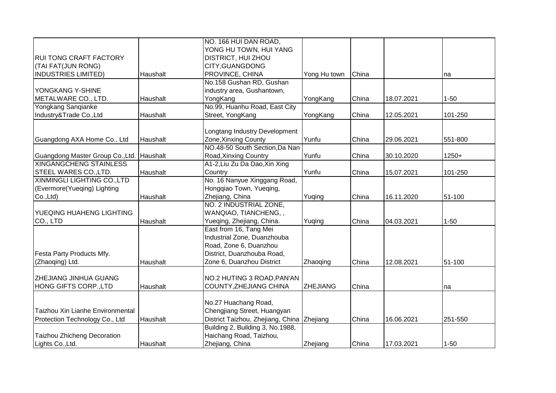|                                           |          | NO. 166 HUI DAN ROAD,                      |                 |       |            |          |
|-------------------------------------------|----------|--------------------------------------------|-----------------|-------|------------|----------|
|                                           |          | YONG HU TOWN, HUI YANG                     |                 |       |            |          |
| <b>RUI TONG CRAFT FACTORY</b>             |          | DISTRICT, HUI ZHOU                         |                 |       |            |          |
| (TAI FAT(JUN RONG)                        |          | CITY, GUANGDONG                            |                 |       |            |          |
| <b>INDUSTRIES LIMITED)</b>                | Haushalt | PROVINCE, CHINA                            | Yong Hu town    | China |            | na       |
|                                           |          | No.158 Gushan RD, Gushan                   |                 |       |            |          |
| YONGKANG Y-SHINE                          |          | industry area, Gushantown,                 |                 |       |            |          |
| METALWARE CO., LTD.                       | Haushalt | YongKang                                   | YongKang        | China | 18.07.2021 | $1 - 50$ |
| Yongkang Sanqianke                        |          | No.99, Huanhu Road, East City              |                 |       |            |          |
| Industry&Trade Co., Ltd                   | Haushalt | Street, YongKang                           | YongKang        | China | 12.05.2021 | 101-250  |
|                                           |          |                                            |                 |       |            |          |
|                                           |          | Longtang Industry Development              |                 |       |            |          |
| Guangdong AXA Home Co., Ltd               | Haushalt | Zone, Xinxing County                       | Yunfu           | China | 29.06.2021 | 551-800  |
|                                           |          | NO.48-50 South Section, Da Nan             |                 |       |            |          |
| Guangdong Master Group Co., Ltd. Haushalt |          | Road, Xinxing Country                      | Yunfu           | China | 30.10.2020 | $1250+$  |
| <b>XINGANGCHENG STAINLESS</b>             |          | A1-2, Liu Zu Da Dao, Xin Xing              |                 |       |            |          |
| STEEL WARES CO., LTD.                     | Haushalt | Country                                    | Yunfu           | China | 15.07.2021 | 101-250  |
| XINMINGLI LIGHTING CO., LTD               |          | No. 16 Nanyue Xinggang Road,               |                 |       |            |          |
| (Evermore(Yueqing) Lighting               |          | Hongqiao Town, Yueqing,                    |                 |       |            |          |
| Co.,Ltd)                                  | Haushalt | Zhejiang, China                            | Yuqing          | China | 16.11.2020 | 51-100   |
|                                           |          | NO. 2 INDUSTRIAL ZONE,                     |                 |       |            |          |
| YUEQING HUAHENG LIGHTING                  |          | WANQIAO, TIANCHENG,,                       |                 |       |            |          |
| CO., LTD                                  | Haushalt | Yueqing, Zhejiang, China.                  | Yuqing          | China | 04.03.2021 | $1 - 50$ |
|                                           |          | East from 16, Tang Mei                     |                 |       |            |          |
|                                           |          | Industrial Zone, Duanzhouba                |                 |       |            |          |
|                                           |          | Road, Zone 6, Duanzhou                     |                 |       |            |          |
| Festa Party Products Mfy.                 |          | District, Duanzhouba Road,                 |                 |       |            |          |
| (Zhaoqing) Ltd.                           | Haushalt | Zone 6, Duanzhou District                  | Zhaoqing        | China | 12.08.2021 | 51-100   |
| ZHEJIANG JINHUA GUANG                     |          | NO.2 HUTING 3 ROAD, PAN'AN                 |                 |       |            |          |
| HONG GIFTS CORP.,LTD                      | Haushalt | COUNTY, ZHEJIANG CHINA                     | <b>ZHEJIANG</b> | China |            |          |
|                                           |          |                                            |                 |       |            | na       |
|                                           |          | No.27 Huachang Road,                       |                 |       |            |          |
| Taizhou Xin Lianhe Environmental          |          | Chengjiang Street, Huangyan                |                 |       |            |          |
| Protection Technology Co., Ltd            | Haushalt | District Taizhou, Zhejiang, China Zhejiang |                 | China | 16.06.2021 | 251-550  |
|                                           |          | Building 2, Building 3, No.1988,           |                 |       |            |          |
| Taizhou Zhicheng Decoration               |          | Haichang Road, Taizhou,                    |                 |       |            |          |
| Lights Co., Ltd.                          | Haushalt | Zhejiang, China                            | Zhejiang        | China | 17.03.2021 | $1 - 50$ |
|                                           |          |                                            |                 |       |            |          |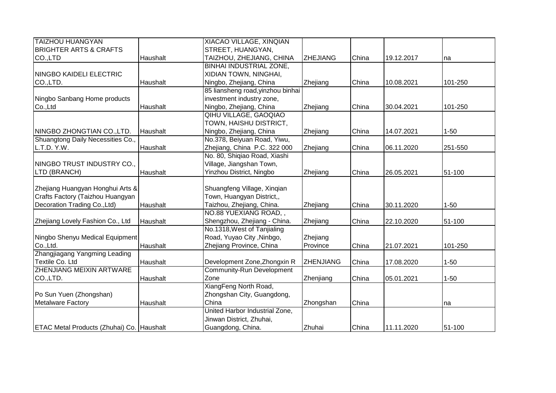| <b>TAIZHOU HUANGYAN</b>                          |          | XIACAO VILLAGE, XINQIAN           |                  |       |            |          |
|--------------------------------------------------|----------|-----------------------------------|------------------|-------|------------|----------|
| <b>BRIGHTER ARTS &amp; CRAFTS</b>                |          | STREET, HUANGYAN,                 |                  |       |            |          |
| CO.,LTD                                          | Haushalt | TAIZHOU, ZHEJIANG, CHINA          | <b>ZHEJIANG</b>  | China | 19.12.2017 | na       |
|                                                  |          | <b>BINHAI INDUSTRIAL ZONE,</b>    |                  |       |            |          |
| <b>NINGBO KAIDELI ELECTRIC</b>                   |          | XIDIAN TOWN, NINGHAI,             |                  |       |            |          |
| CO.,LTD.                                         | Haushalt | Ningbo, Zhejiang, China           | Zhejiang         | China | 10.08.2021 | 101-250  |
|                                                  |          | 85 liansheng road, yinzhou binhai |                  |       |            |          |
| Ningbo Sanbang Home products                     |          | investment industry zone,         |                  |       |            |          |
| Co.,Ltd                                          | Haushalt | Ningbo, Zhejiang, China           | Zhejiang         | China | 30.04.2021 | 101-250  |
|                                                  |          | QIHU VILLAGE, GAOQIAO             |                  |       |            |          |
|                                                  |          | TOWN, HAISHU DISTRICT,            |                  |       |            |          |
| NINGBO ZHONGTIAN CO., LTD.                       | Haushalt | Ningbo, Zhejiang, China           | Zhejiang         | China | 14.07.2021 | $1 - 50$ |
| Shuangtong Daily Necessities Co.,                |          | No.378, Beiyuan Road, Yiwu,       |                  |       |            |          |
| L.T.D. Y.W.                                      | Haushalt | Zhejiang, China P.C. 322 000      | Zhejiang         | China | 06.11.2020 | 251-550  |
|                                                  |          | No. 80, Shiqiao Road, Xiashi      |                  |       |            |          |
| NINGBO TRUST INDUSTRY CO.,                       |          | Village, Jiangshan Town,          |                  |       |            |          |
| LTD (BRANCH)                                     | Haushalt | Yinzhou District, Ningbo          | Zhejiang         | China | 26.05.2021 | 51-100   |
|                                                  |          |                                   |                  |       |            |          |
| Zhejiang Huangyan Honghui Arts &                 |          | Shuangfeng Village, Xinqian       |                  |       |            |          |
| Crafts Factory (Taizhou Huangyan                 |          | Town, Huangyan District,,         |                  |       |            |          |
| Decoration Trading Co., Ltd)                     | Haushalt | Taizhou, Zhejiang, China.         | Zhejiang         | China | 30.11.2020 | $1 - 50$ |
|                                                  |          | NO.88 YUEXIANG ROAD,,             |                  |       |            |          |
| Zhejiang Lovely Fashion Co., Ltd                 | Haushalt | Shengzhou, Zhejiang - China.      | Zhejiang         | China | 22.10.2020 | 51-100   |
|                                                  |          | No.1318, West of Tanjialing       |                  |       |            |          |
| Ningbo Shenyu Medical Equipment                  |          | Road, Yuyao City, Ninbgo,         | Zhejiang         |       |            |          |
| Co., Ltd.                                        | Haushalt | Zhejiang Province, China          | Province         | China | 21.07.2021 | 101-250  |
| Zhangjiagang Yangming Leading                    |          |                                   |                  |       |            |          |
| Textile Co. Ltd                                  | Haushalt | Development Zone, Zhongxin R      | <b>ZHENJIANG</b> | China | 17.08.2020 | $1 - 50$ |
| <b>ZHENJIANG MEIXIN ARTWARE</b>                  |          | <b>Community-Run Development</b>  |                  |       |            |          |
| CO.,LTD.                                         | Haushalt | Zone                              | Zhenjiang        | China | 05.01.2021 | $1 - 50$ |
|                                                  |          | XiangFeng North Road,             |                  |       |            |          |
| Po Sun Yuen (Zhongshan)                          |          | Zhongshan City, Guangdong,        |                  |       |            |          |
| <b>Metalware Factory</b>                         | Haushalt | China                             | Zhongshan        | China |            | na       |
|                                                  |          | United Harbor Industrial Zone,    |                  |       |            |          |
|                                                  |          | Jinwan District, Zhuhai,          |                  |       |            |          |
| <b>ETAC Metal Products (Zhuhai) Co. Haushalt</b> |          | Guangdong, China.                 | Zhuhai           | China | 11.11.2020 | 51-100   |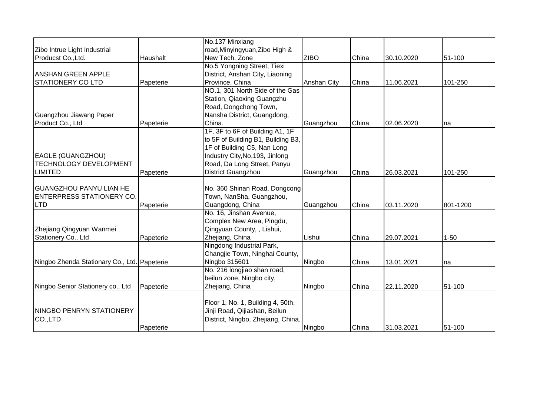|                                              |           | No.137 Minxiang                    |             |       |            |          |
|----------------------------------------------|-----------|------------------------------------|-------------|-------|------------|----------|
| Zibo Intrue Light Industrial                 |           | road, Minyingyuan, Zibo High &     |             |       |            |          |
| Producst Co., Ltd.                           | Haushalt  | New Tech. Zone                     | <b>ZIBO</b> | China | 30.10.2020 | 51-100   |
|                                              |           | No.5 Yongning Street, Tiexi        |             |       |            |          |
| <b>ANSHAN GREEN APPLE</b>                    |           | District, Anshan City, Liaoning    |             |       |            |          |
| <b>STATIONERY CO LTD</b>                     | Papeterie | Province, China                    | Anshan City | China | 11.06.2021 | 101-250  |
|                                              |           | NO.1, 301 North Side of the Gas    |             |       |            |          |
|                                              |           | Station, Qiaoxing Guangzhu         |             |       |            |          |
|                                              |           | Road, Dongchong Town,              |             |       |            |          |
| Guangzhou Jiawang Paper                      |           | Nansha District, Guangdong,        |             |       |            |          |
| Product Co., Ltd                             | Papeterie | China.                             | Guangzhou   | China | 02.06.2020 | na       |
|                                              |           | 1F, 3F to 6F of Building A1, 1F    |             |       |            |          |
|                                              |           | to 5F of Building B1, Building B3, |             |       |            |          |
|                                              |           | 1F of Building C5, Nan Long        |             |       |            |          |
| EAGLE (GUANGZHOU)                            |           | Industry City, No. 193, Jinlong    |             |       |            |          |
| <b>TECHNOLOGY DEVELOPMENT</b>                |           | Road, Da Long Street, Panyu        |             |       |            |          |
| <b>LIMITED</b>                               | Papeterie | District Guangzhou                 | Guangzhou   | China | 26.03.2021 | 101-250  |
|                                              |           |                                    |             |       |            |          |
| <b>GUANGZHOU PANYU LIAN HE</b>               |           | No. 360 Shinan Road, Dongcong      |             |       |            |          |
| <b>ENTERPRESS STATIONERY CO.</b>             |           | Town, NanSha, Guangzhou,           |             |       |            |          |
| <b>LTD</b>                                   | Papeterie | Guangdong, China                   | Guangzhou   | China | 03.11.2020 | 801-1200 |
|                                              |           | No. 16, Jinshan Avenue,            |             |       |            |          |
|                                              |           | Complex New Area, Pingdu,          |             |       |            |          |
| Zhejiang Qingyuan Wanmei                     |           | Qingyuan County, , Lishui,         |             |       |            |          |
| Stationery Co., Ltd                          | Papeterie | Zhejiang, China                    | Lishui      | China | 29.07.2021 | $1 - 50$ |
|                                              |           | Ningdong Industrial Park,          |             |       |            |          |
|                                              |           | Changjie Town, Ninghai County,     |             |       |            |          |
| Ningbo Zhenda Stationary Co., Ltd. Papeterie |           | Ningbo 315601                      | Ningbo      | China | 13.01.2021 | na       |
|                                              |           | No. 216 longjiao shan road,        |             |       |            |          |
|                                              |           | beilun zone, Ningbo city,          |             |       |            |          |
| Ningbo Senior Stationery co., Ltd            | Papeterie | Zhejiang, China                    | Ningbo      | China | 22.11.2020 | 51-100   |
|                                              |           |                                    |             |       |            |          |
|                                              |           | Floor 1, No. 1, Building 4, 50th,  |             |       |            |          |
| <b>NINGBO PENRYN STATIONERY</b>              |           | Jinji Road, Qijiashan, Beilun      |             |       |            |          |
| CO.,LTD                                      |           | District, Ningbo, Zhejiang, China. |             |       |            |          |
|                                              | Papeterie |                                    | Ningbo      | China | 31.03.2021 | 51-100   |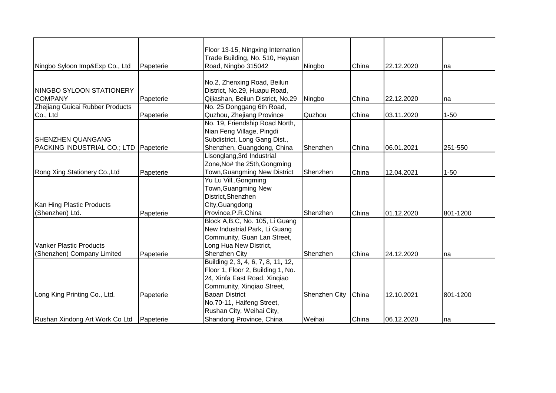|                                 |           | Floor 13-15, Ningxing Internation  |               |       |            |          |
|---------------------------------|-----------|------------------------------------|---------------|-------|------------|----------|
|                                 |           | Trade Building, No. 510, Heyuan    |               |       |            |          |
| Ningbo Syloon Imp&Exp Co., Ltd  | Papeterie | Road, Ningbo 315042                | Ningbo        | China | 22.12.2020 | na       |
|                                 |           |                                    |               |       |            |          |
|                                 |           | No.2, Zhenxing Road, Beilun        |               |       |            |          |
| NINGBO SYLOON STATIONERY        |           | District, No.29, Huapu Road,       |               |       |            |          |
| <b>COMPANY</b>                  | Papeterie | Qijiashan, Beilun District, No.29  | Ningbo        | China | 22.12.2020 | na       |
| Zhejiang Guicai Rubber Products |           | No. 25 Donggang 6th Road,          |               |       |            |          |
| Co., Ltd                        | Papeterie | Quzhou, Zhejiang Province          | Quzhou        | China | 03.11.2020 | $1 - 50$ |
|                                 |           | No. 19, Friendship Road North,     |               |       |            |          |
|                                 |           | Nian Feng Village, Pingdi          |               |       |            |          |
| <b>SHENZHEN QUANGANG</b>        |           | Subdistrict, Long Gang Dist.,      |               |       |            |          |
| PACKING INDUSTRIAL CO.; LTD     | Papeterie | Shenzhen, Guangdong, China         | Shenzhen      | China | 06.01.2021 | 251-550  |
|                                 |           | Lisonglang, 3rd Industrial         |               |       |            |          |
|                                 |           | Zone, No# the 25th, Gongming       |               |       |            |          |
| Rong Xing Stationery Co., Ltd   | Papeterie | Town, Guangming New District       | Shenzhen      | China | 12.04.2021 | $1 - 50$ |
|                                 |           | Yu Lu Vill., Gongming              |               |       |            |          |
|                                 |           | Town, Guangming New                |               |       |            |          |
|                                 |           | District, Shenzhen                 |               |       |            |          |
| Kan Hing Plastic Products       |           | Clty, Guangdong                    |               |       |            |          |
| (Shenzhen) Ltd.                 | Papeterie | Province, P.R.China                | Shenzhen      | China | 01.12.2020 | 801-1200 |
|                                 |           | Block A, B, C, No. 105, Li Guang   |               |       |            |          |
|                                 |           | New Industrial Park, Li Guang      |               |       |            |          |
|                                 |           | Community, Guan Lan Street,        |               |       |            |          |
| <b>Vanker Plastic Products</b>  |           | Long Hua New District,             |               |       |            |          |
| (Shenzhen) Company Limited      | Papeterie | Shenzhen City                      | Shenzhen      | China | 24.12.2020 | na       |
|                                 |           | Building 2, 3, 4, 6, 7, 8, 11, 12, |               |       |            |          |
|                                 |           | Floor 1, Floor 2, Building 1, No.  |               |       |            |          |
|                                 |           | 24, Xinfa East Road, Xinqiao       |               |       |            |          |
|                                 |           | Community, Xingiao Street,         |               |       |            |          |
| Long King Printing Co., Ltd.    | Papeterie | <b>Baoan District</b>              | Shenzhen City | China | 12.10.2021 | 801-1200 |
|                                 |           | No.70-11, Haifeng Street,          |               |       |            |          |
|                                 |           | Rushan City, Weihai City,          |               |       |            |          |
| Rushan Xindong Art Work Co Ltd  | Papeterie | Shandong Province, China           | Weihai        | China | 06.12.2020 | Ina      |